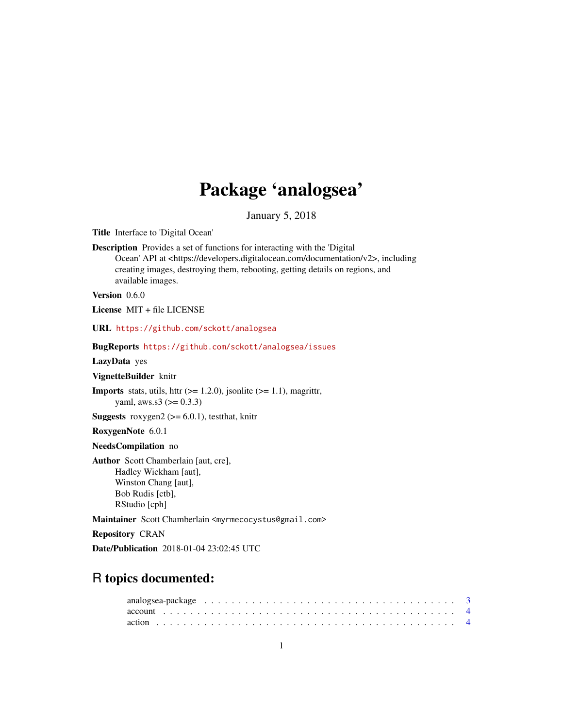# Package 'analogsea'

January 5, 2018

<span id="page-0-0"></span>Title Interface to 'Digital Ocean'

Description Provides a set of functions for interacting with the 'Digital Ocean' API at <https://developers.digitalocean.com/documentation/v2>, including creating images, destroying them, rebooting, getting details on regions, and available images.

Version 0.6.0

License MIT + file LICENSE

URL <https://github.com/sckott/analogsea>

#### BugReports <https://github.com/sckott/analogsea/issues>

LazyData yes

VignetteBuilder knitr

**Imports** stats, utils, httr  $(>= 1.2.0)$ , jsonlite  $(>= 1.1)$ , magrittr, yaml, aws.s3  $(>= 0.3.3)$ 

**Suggests** roxygen2 ( $>= 6.0.1$ ), test that, knitr

RoxygenNote 6.0.1

NeedsCompilation no

Author Scott Chamberlain [aut, cre], Hadley Wickham [aut], Winston Chang [aut], Bob Rudis [ctb], RStudio [cph]

Maintainer Scott Chamberlain <myrmecocystus@gmail.com>

Repository CRAN

Date/Publication 2018-01-04 23:02:45 UTC

## R topics documented:

| analogsea-package $\ldots \ldots \ldots \ldots \ldots \ldots \ldots \ldots \ldots \ldots \ldots \ldots \ldots$ |  |
|----------------------------------------------------------------------------------------------------------------|--|
|                                                                                                                |  |
|                                                                                                                |  |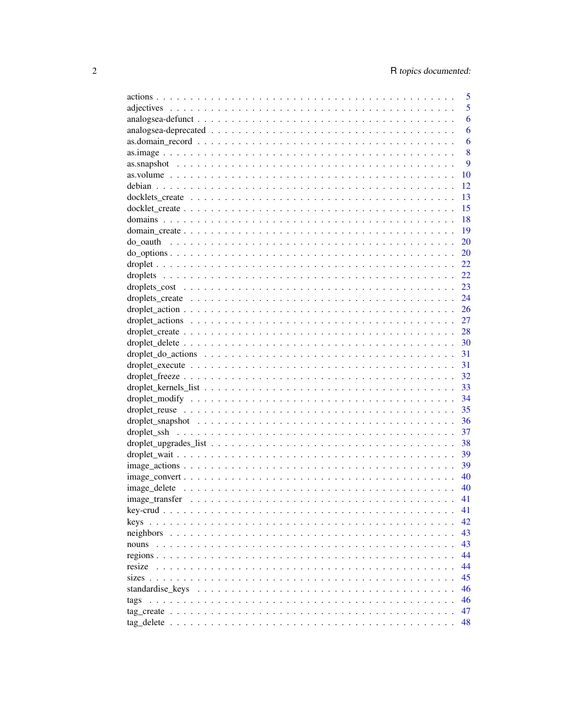|                                                                                                                  | 5  |
|------------------------------------------------------------------------------------------------------------------|----|
|                                                                                                                  | 5  |
|                                                                                                                  | 6  |
|                                                                                                                  | 6  |
|                                                                                                                  | 6  |
|                                                                                                                  | 8  |
|                                                                                                                  | 9  |
|                                                                                                                  | 10 |
|                                                                                                                  | 12 |
|                                                                                                                  | 13 |
|                                                                                                                  | 15 |
|                                                                                                                  | 18 |
|                                                                                                                  | 19 |
|                                                                                                                  | 20 |
|                                                                                                                  | 20 |
|                                                                                                                  | 22 |
|                                                                                                                  | 22 |
|                                                                                                                  | 23 |
|                                                                                                                  | 24 |
|                                                                                                                  | 26 |
|                                                                                                                  | 27 |
|                                                                                                                  |    |
|                                                                                                                  |    |
|                                                                                                                  |    |
|                                                                                                                  | 31 |
|                                                                                                                  | 32 |
|                                                                                                                  |    |
|                                                                                                                  | 34 |
|                                                                                                                  | 35 |
|                                                                                                                  | 36 |
|                                                                                                                  | 37 |
|                                                                                                                  | 38 |
|                                                                                                                  | 39 |
|                                                                                                                  | 39 |
| $image\_convert \dots \dots \dots \dots \dots \dots \dots \dots \dots \dots \dots \dots \dots \dots \dots \dots$ | 40 |
|                                                                                                                  |    |
|                                                                                                                  |    |
|                                                                                                                  | 41 |
|                                                                                                                  | 42 |
|                                                                                                                  | 43 |
| nouns                                                                                                            | 43 |
|                                                                                                                  | 44 |
|                                                                                                                  | 44 |
|                                                                                                                  | 45 |
|                                                                                                                  | 46 |
| tags                                                                                                             | 46 |
|                                                                                                                  | 47 |
|                                                                                                                  | 48 |
|                                                                                                                  |    |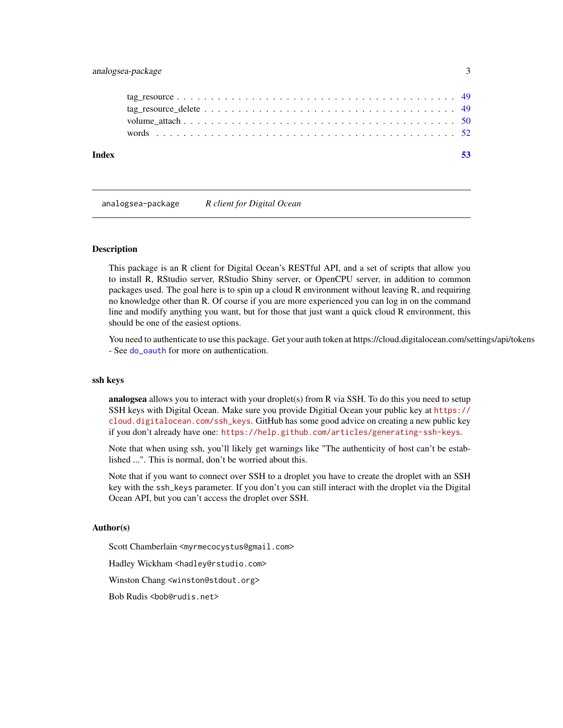### <span id="page-2-0"></span>analogsea-package 3

| Index |  |  |  |  |  |  |  |  |  |  |  |  |  |  |  |  |  |  |
|-------|--|--|--|--|--|--|--|--|--|--|--|--|--|--|--|--|--|--|
|       |  |  |  |  |  |  |  |  |  |  |  |  |  |  |  |  |  |  |
|       |  |  |  |  |  |  |  |  |  |  |  |  |  |  |  |  |  |  |
|       |  |  |  |  |  |  |  |  |  |  |  |  |  |  |  |  |  |  |
|       |  |  |  |  |  |  |  |  |  |  |  |  |  |  |  |  |  |  |

analogsea-package *R client for Digital Ocean*

#### Description

This package is an R client for Digital Ocean's RESTful API, and a set of scripts that allow you to install R, RStudio server, RStudio Shiny server, or OpenCPU server, in addition to common packages used. The goal here is to spin up a cloud R environment without leaving R, and requiring no knowledge other than R. Of course if you are more experienced you can log in on the command line and modify anything you want, but for those that just want a quick cloud R environment, this should be one of the easiest options.

You need to authenticate to use this package. Get your auth token at https://cloud.digitalocean.com/settings/api/tokens - See do oauth for more on authentication.

#### ssh keys

analogsea allows you to interact with your droplet(s) from R via SSH. To do this you need to setup SSH keys with Digital Ocean. Make sure you provide Digitial Ocean your public key at [https://](https://cloud.digitalocean.com/ssh_keys) [cloud.digitalocean.com/ssh\\_keys](https://cloud.digitalocean.com/ssh_keys). GitHub has some good advice on creating a new public key if you don't already have one: <https://help.github.com/articles/generating-ssh-keys>.

Note that when using ssh, you'll likely get warnings like "The authenticity of host can't be established ...". This is normal, don't be worried about this.

Note that if you want to connect over SSH to a droplet you have to create the droplet with an SSH key with the ssh\_keys parameter. If you don't you can still interact with the droplet via the Digital Ocean API, but you can't access the droplet over SSH.

#### Author(s)

Scott Chamberlain <myrmecocystus@gmail.com>

Hadley Wickham <hadley@rstudio.com>

Winston Chang <winston@stdout.org>

Bob Rudis <bob@rudis.net>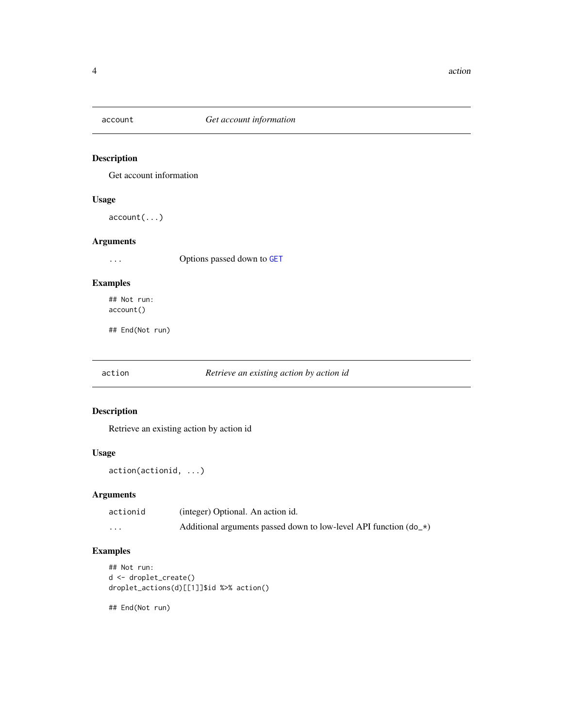<span id="page-3-0"></span>

### Description

Get account information

### Usage

account(...)

### Arguments

... Options passed down to [GET](#page-0-0)

### Examples

## Not run: account()

## End(Not run)

action *Retrieve an existing action by action id*

### Description

Retrieve an existing action by action id

### Usage

action(actionid, ...)

### Arguments

| actionid | (integer) Optional. An action id.                                    |
|----------|----------------------------------------------------------------------|
| $\cdots$ | Additional arguments passed down to low-level API function $(d_0 x)$ |

### Examples

```
## Not run:
d <- droplet_create()
droplet_actions(d)[[1]]$id %>% action()
```
## End(Not run)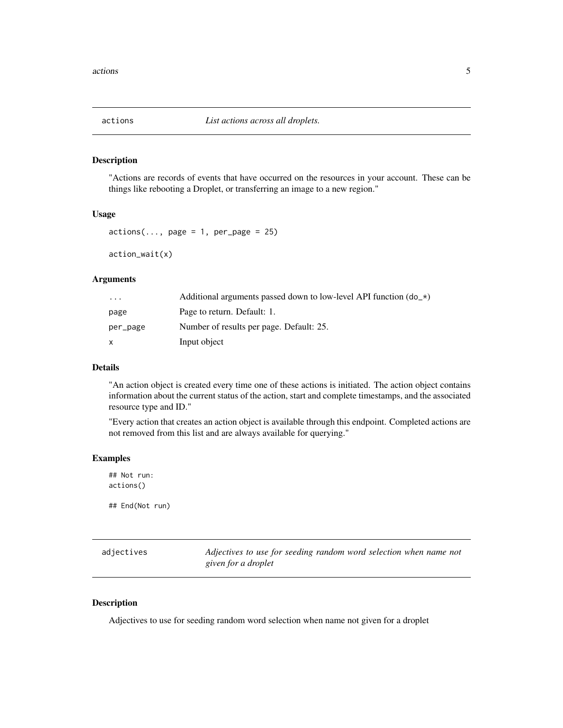<span id="page-4-0"></span>

#### Description

"Actions are records of events that have occurred on the resources in your account. These can be things like rebooting a Droplet, or transferring an image to a new region."

#### Usage

```
actions(..., page = 1, per-page = 25)
```
action\_wait(x)

#### Arguments

| $\cdot$ $\cdot$ $\cdot$ | Additional arguments passed down to low-level API function $(d_0 x)$ |
|-------------------------|----------------------------------------------------------------------|
| page                    | Page to return. Default: 1.                                          |
| per_page                | Number of results per page. Default: 25.                             |
| $\mathsf{x}$            | Input object                                                         |

### Details

"An action object is created every time one of these actions is initiated. The action object contains information about the current status of the action, start and complete timestamps, and the associated resource type and ID."

"Every action that creates an action object is available through this endpoint. Completed actions are not removed from this list and are always available for querying."

#### Examples

## Not run: actions() ## End(Not run)

adjectives *Adjectives to use for seeding random word selection when name not given for a droplet*

### Description

Adjectives to use for seeding random word selection when name not given for a droplet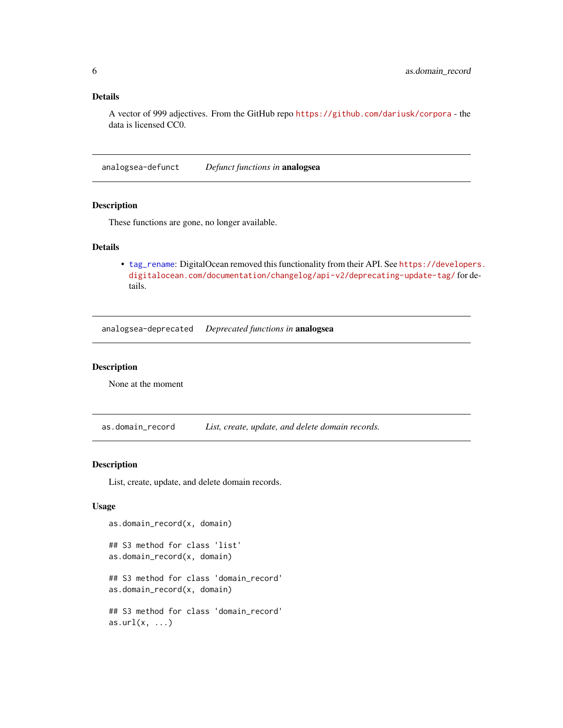### <span id="page-5-0"></span>Details

A vector of 999 adjectives. From the GitHub repo <https://github.com/dariusk/corpora> - the data is licensed CC0.

analogsea-defunct *Defunct functions in* analogsea

#### Description

These functions are gone, no longer available.

### Details

• [tag\\_rename](#page-0-0): DigitalOcean removed this functionality from their API. See [https://develope](https://developers.digitalocean.com/documentation/changelog/api-v2/deprecating-update-tag/)rs. [digitalocean.com/documentation/changelog/api-v2/deprecating-update-tag/](https://developers.digitalocean.com/documentation/changelog/api-v2/deprecating-update-tag/) for details.

analogsea-deprecated *Deprecated functions in* analogsea

#### Description

None at the moment

as.domain\_record *List, create, update, and delete domain records.*

#### Description

List, create, update, and delete domain records.

#### Usage

```
as.domain_record(x, domain)
## S3 method for class 'list'
as.domain_record(x, domain)
## S3 method for class 'domain_record'
as.domain_record(x, domain)
## S3 method for class 'domain_record'
as.url(x, \ldots)
```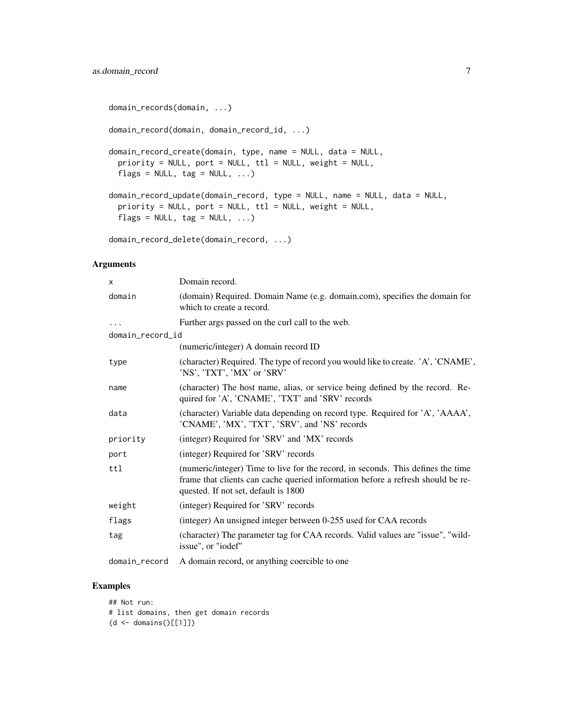```
domain_records(domain, ...)
domain_record(domain, domain_record_id, ...)
domain_record_create(domain, type, name = NULL, data = NULL,
 priority = NULL, port = NULL, ttl = NULL, weight = NULL,
 flags = NULL, tag = NULL, ...)domain_record_update(domain_record, type = NULL, name = NULL, data = NULL,
 priority = NULL, port = NULL, ttl = NULL, weight = NULL,
 flags = NULL, tag = NULL, ...)
```

```
domain_record_delete(domain_record, ...)
```
#### Arguments

| x                | Domain record.                                                                                                                                                                                              |
|------------------|-------------------------------------------------------------------------------------------------------------------------------------------------------------------------------------------------------------|
| domain           | (domain) Required. Domain Name (e.g. domain.com), specifies the domain for<br>which to create a record.                                                                                                     |
| .                | Further args passed on the curl call to the web.                                                                                                                                                            |
| domain_record_id |                                                                                                                                                                                                             |
|                  | (numeric/integer) A domain record ID                                                                                                                                                                        |
| type             | (character) Required. The type of record you would like to create. 'A', 'CNAME',<br>'NS', 'TXT', 'MX' or 'SRV'                                                                                              |
| name             | (character) The host name, alias, or service being defined by the record. Re-<br>quired for 'A', 'CNAME', 'TXT' and 'SRV' records                                                                           |
| data             | (character) Variable data depending on record type. Required for 'A', 'AAAA',<br>'CNAME', 'MX', 'TXT', 'SRV', and 'NS' records                                                                              |
| priority         | (integer) Required for 'SRV' and 'MX' records                                                                                                                                                               |
| port             | (integer) Required for 'SRV' records                                                                                                                                                                        |
| ttl              | (numeric/integer) Time to live for the record, in seconds. This defines the time<br>frame that clients can cache queried information before a refresh should be re-<br>quested. If not set, default is 1800 |
| weight           | (integer) Required for 'SRV' records                                                                                                                                                                        |
| flags            | (integer) An unsigned integer between 0-255 used for CAA records                                                                                                                                            |
| tag              | (character) The parameter tag for CAA records. Valid values are "issue", "wild-<br>issue", or "iodef"                                                                                                       |
| domain_record    | A domain record, or anything coercible to one                                                                                                                                                               |

### Examples

## Not run: # list domains, then get domain records (d <- domains()[[1]])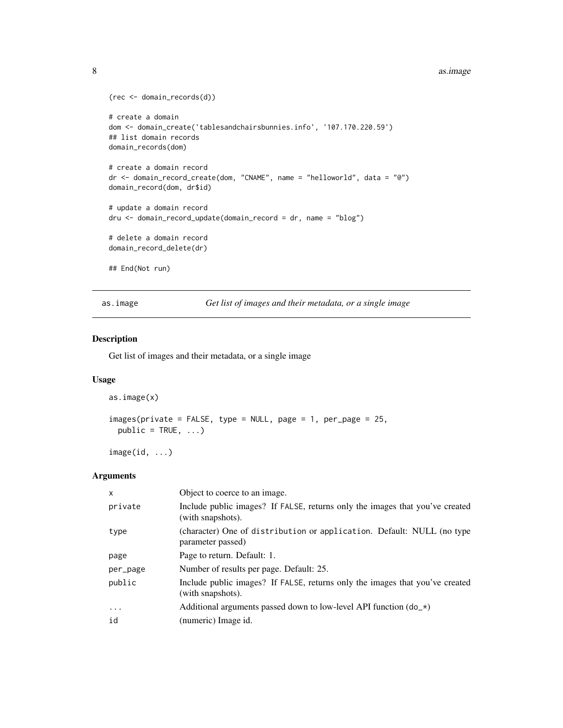#### <span id="page-7-0"></span>8 as. image 2012 as  $\frac{1}{2}$  as  $\frac{1}{2}$  as  $\frac{1}{2}$  as  $\frac{1}{2}$  as  $\frac{1}{2}$  as  $\frac{1}{2}$  as  $\frac{1}{2}$  as  $\frac{1}{2}$  as  $\frac{1}{2}$  as  $\frac{1}{2}$  as  $\frac{1}{2}$  as  $\frac{1}{2}$  as  $\frac{1}{2}$  as  $\frac{1}{2}$  as  $\frac{1}{2}$  as  $\frac{1}{2$

```
(rec <- domain_records(d))
# create a domain
dom <- domain_create('tablesandchairsbunnies.info', '107.170.220.59')
## list domain records
domain_records(dom)
# create a domain record
dr <- domain_record_create(dom, "CNAME", name = "helloworld", data = "@")
domain_record(dom, dr$id)
# update a domain record
dru <- domain_record_update(domain_record = dr, name = "blog")
# delete a domain record
domain_record_delete(dr)
## End(Not run)
```
as.image *Get list of images and their metadata, or a single image*

### <span id="page-7-1"></span>Description

Get list of images and their metadata, or a single image

### Usage

```
as.image(x)
```

```
images(private = FALSE, type = NULL, page = 1, per_page = 25,
 public = TRUE, \ldots)
```
image(id, ...)

| X         | Object to coerce to an image.                                                                     |
|-----------|---------------------------------------------------------------------------------------------------|
| private   | Include public images? If FALSE, returns only the images that you've created<br>(with snapshots). |
| type      | (character) One of distribution or application. Default: NULL (no type<br>parameter passed)       |
| page      | Page to return. Default: 1.                                                                       |
| per_page  | Number of results per page. Default: 25.                                                          |
| public    | Include public images? If FALSE, returns only the images that you've created<br>(with snapshots). |
| $\ddotsc$ | Additional arguments passed down to low-level API function $(do_*)$                               |
| id        | (numeric) Image id.                                                                               |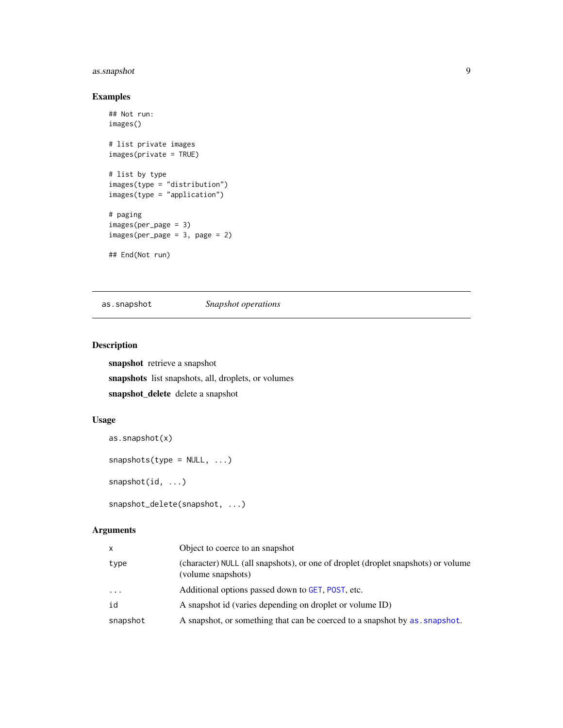### <span id="page-8-0"></span>as.snapshot 9

### Examples

```
## Not run:
images()
# list private images
images(private = TRUE)
# list by type
images(type = "distribution")
images(type = "application")
# paging
images(per_page = 3)
images(per-page = 3, page = 2)## End(Not run)
```
<span id="page-8-1"></span>as.snapshot *Snapshot operations*

### Description

snapshot retrieve a snapshot snapshots list snapshots, all, droplets, or volumes snapshot\_delete delete a snapshot

### Usage

```
as.snapshot(x)
snapshots(type = NULL, ...)snapshot(id, ...)
snapshot_delete(snapshot, ...)
```

| x        | Object to coerce to an snapshot                                                                         |
|----------|---------------------------------------------------------------------------------------------------------|
| type     | (character) NULL (all snapshots), or one of droplet (droplet snapshots) or volume<br>(volume snapshots) |
| $\cdots$ | Additional options passed down to GET, POST, etc.                                                       |
| id       | A snapshot id (varies depending on droplet or volume ID)                                                |
| snapshot | A snapshot, or something that can be coerced to a snapshot by as a snapshot.                            |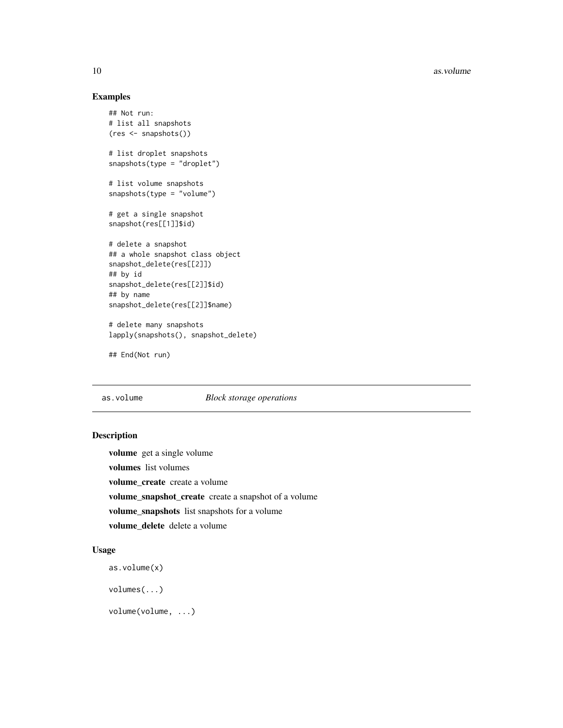### Examples

```
## Not run:
# list all snapshots
(res <- snapshots())
# list droplet snapshots
snapshots(type = "droplet")
# list volume snapshots
snapshots(type = "volume")
# get a single snapshot
snapshot(res[[1]]$id)
# delete a snapshot
## a whole snapshot class object
snapshot_delete(res[[2]])
## by id
snapshot_delete(res[[2]]$id)
## by name
snapshot_delete(res[[2]]$name)
# delete many snapshots
lapply(snapshots(), snapshot_delete)
```

```
## End(Not run)
```
#### <span id="page-9-1"></span>as.volume *Block storage operations*

#### Description

volume get a single volume volumes list volumes volume\_create create a volume volume\_snapshot\_create create a snapshot of a volume volume\_snapshots list snapshots for a volume volume\_delete delete a volume

#### Usage

```
as.volume(x)
```
volumes(...)

volume(volume, ...)

<span id="page-9-0"></span>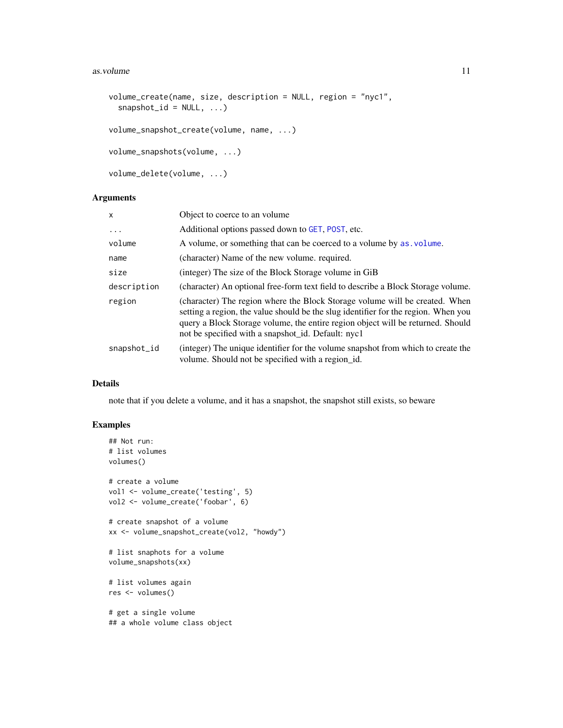#### <span id="page-10-0"></span>as.volume 11

```
volume_create(name, size, description = NULL, region = "nyc1",
  snapshot_id = NULL, ...)volume_snapshot_create(volume, name, ...)
volume_snapshots(volume, ...)
volume_delete(volume, ...)
```
### Arguments

| $\mathsf{x}$ | Object to coerce to an volume                                                                                                                                                                                                                                                                              |
|--------------|------------------------------------------------------------------------------------------------------------------------------------------------------------------------------------------------------------------------------------------------------------------------------------------------------------|
| .            | Additional options passed down to GET, POST, etc.                                                                                                                                                                                                                                                          |
| volume       | A volume, or something that can be coerced to a volume by as volume.                                                                                                                                                                                                                                       |
| name         | (character) Name of the new volume, required.                                                                                                                                                                                                                                                              |
| size         | (integer) The size of the Block Storage volume in GiB                                                                                                                                                                                                                                                      |
| description  | (character) An optional free-form text field to describe a Block Storage volume.                                                                                                                                                                                                                           |
| region       | (character) The region where the Block Storage volume will be created. When<br>setting a region, the value should be the slug identifier for the region. When you<br>query a Block Storage volume, the entire region object will be returned. Should<br>not be specified with a snapshot_id. Default: nyc1 |
| snapshot_id  | (integer) The unique identifier for the volume snapshot from which to create the<br>volume. Should not be specified with a region_id.                                                                                                                                                                      |

#### Details

note that if you delete a volume, and it has a snapshot, the snapshot still exists, so beware

### Examples

```
## Not run:
# list volumes
volumes()
# create a volume
vol1 <- volume_create('testing', 5)
vol2 <- volume_create('foobar', 6)
# create snapshot of a volume
xx <- volume_snapshot_create(vol2, "howdy")
# list snaphots for a volume
volume_snapshots(xx)
# list volumes again
res <- volumes()
# get a single volume
## a whole volume class object
```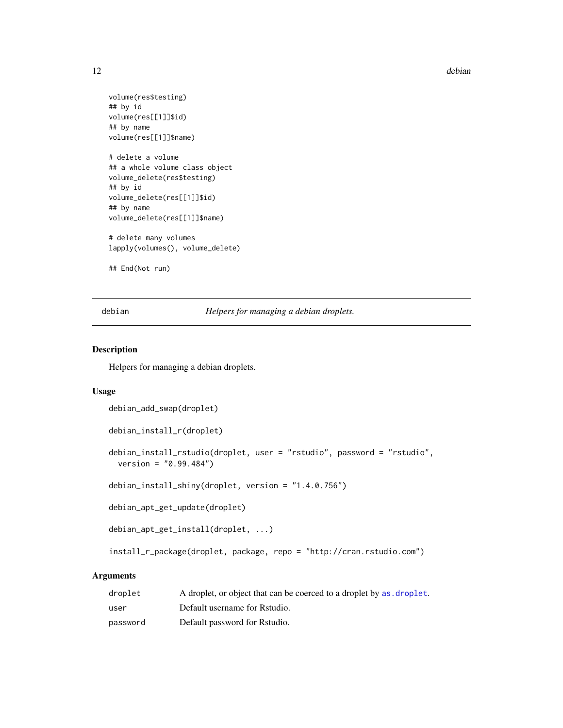<span id="page-11-0"></span>12 debian

```
volume(res$testing)
## by id
volume(res[[1]]$id)
## by name
volume(res[[1]]$name)
# delete a volume
## a whole volume class object
volume_delete(res$testing)
## by id
volume_delete(res[[1]]$id)
## by name
volume_delete(res[[1]]$name)
# delete many volumes
lapply(volumes(), volume_delete)
```
## End(Not run)

debian *Helpers for managing a debian droplets.*

#### Description

Helpers for managing a debian droplets.

#### Usage

```
debian_add_swap(droplet)
```
debian\_install\_r(droplet)

debian\_install\_rstudio(droplet, user = "rstudio", password = "rstudio", version = "0.99.484")

debian\_install\_shiny(droplet, version = "1.4.0.756")

debian\_apt\_get\_update(droplet)

```
debian_apt_get_install(droplet, ...)
```
install\_r\_package(droplet, package, repo = "http://cran.rstudio.com")

| droplet  | A droplet, or object that can be coerced to a droplet by as droplet. |
|----------|----------------------------------------------------------------------|
| user     | Default username for Rstudio.                                        |
| password | Default password for Rstudio.                                        |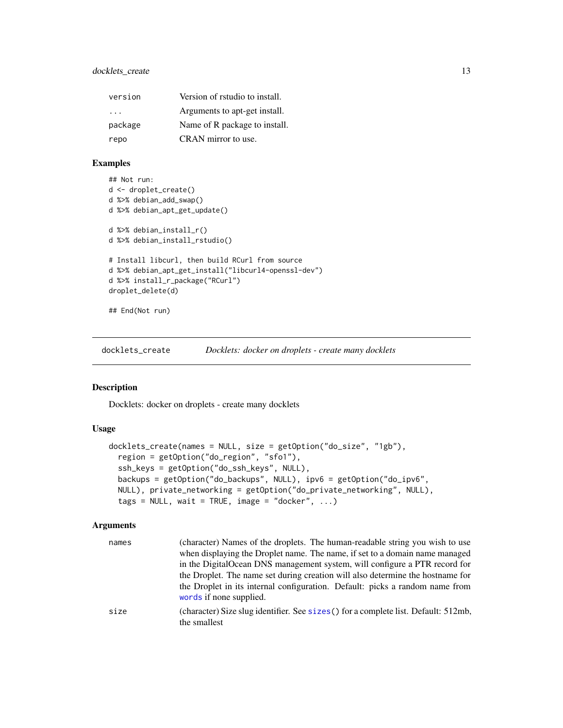### <span id="page-12-0"></span>docklets\_create 13

| version                 | Version of rstudio to install. |
|-------------------------|--------------------------------|
| $\cdot$ $\cdot$ $\cdot$ | Arguments to apt-get install.  |
| package                 | Name of R package to install.  |
| repo                    | CRAN mirror to use.            |

### Examples

```
## Not run:
d <- droplet_create()
d %>% debian_add_swap()
d %>% debian_apt_get_update()
d %>% debian_install_r()
d %>% debian_install_rstudio()
# Install libcurl, then build RCurl from source
d %>% debian_apt_get_install("libcurl4-openssl-dev")
d %>% install_r_package("RCurl")
droplet_delete(d)
## End(Not run)
```
<span id="page-12-1"></span>docklets\_create *Docklets: docker on droplets - create many docklets*

#### Description

Docklets: docker on droplets - create many docklets

### Usage

```
docklets_create(names = NULL, size = getOption("do_size", "1gb"),
  region = getOption("do_region", "sfo1"),
  ssh_keys = getOption("do_ssh_keys", NULL),
 backups = getOption("do_backups", NULL), ipv6 = getOption("do_ipv6",
 NULL), private_networking = getOption("do_private_networking", NULL),
  tags = NULL, wait = TRUE, image = "docker", ...)
```

| names | (character) Names of the droplets. The human-readable string you wish to use                            |
|-------|---------------------------------------------------------------------------------------------------------|
|       | when displaying the Droplet name. The name, if set to a domain name managed                             |
|       | in the DigitalOcean DNS management system, will configure a PTR record for                              |
|       | the Droplet. The name set during creation will also determine the hostname for                          |
|       | the Droplet in its internal configuration. Default: picks a random name from<br>words if none supplied. |
| size  | (character) Size slug identifier. See sizes () for a complete list. Default: 512mb,<br>the smallest     |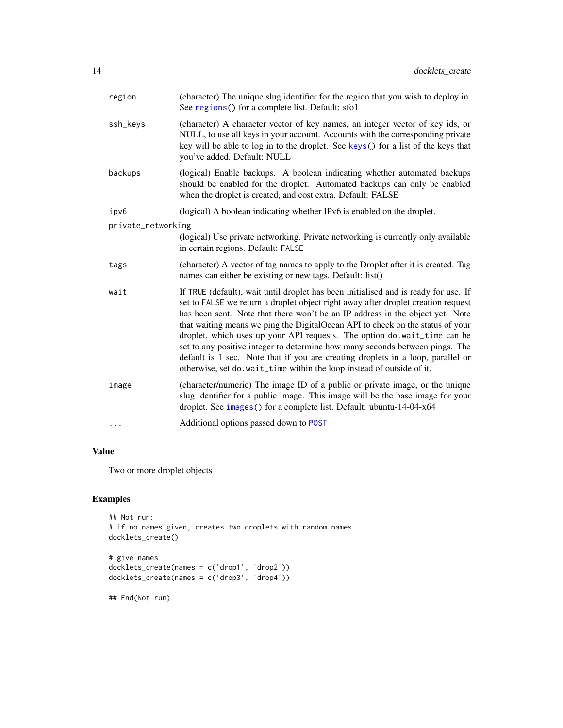<span id="page-13-0"></span>

| region             | (character) The unique slug identifier for the region that you wish to deploy in.<br>See regions () for a complete list. Default: sfo1                                                                                                                                                                                                                                                                                                                                                                                                                                                                                                                               |
|--------------------|----------------------------------------------------------------------------------------------------------------------------------------------------------------------------------------------------------------------------------------------------------------------------------------------------------------------------------------------------------------------------------------------------------------------------------------------------------------------------------------------------------------------------------------------------------------------------------------------------------------------------------------------------------------------|
| ssh_keys           | (character) A character vector of key names, an integer vector of key ids, or<br>NULL, to use all keys in your account. Accounts with the corresponding private<br>key will be able to log in to the droplet. See keys() for a list of the keys that<br>you've added. Default: NULL                                                                                                                                                                                                                                                                                                                                                                                  |
| backups            | (logical) Enable backups. A boolean indicating whether automated backups<br>should be enabled for the droplet. Automated backups can only be enabled<br>when the droplet is created, and cost extra. Default: FALSE                                                                                                                                                                                                                                                                                                                                                                                                                                                  |
| ipv6               | (logical) A boolean indicating whether IPv6 is enabled on the droplet.                                                                                                                                                                                                                                                                                                                                                                                                                                                                                                                                                                                               |
| private_networking |                                                                                                                                                                                                                                                                                                                                                                                                                                                                                                                                                                                                                                                                      |
|                    | (logical) Use private networking. Private networking is currently only available<br>in certain regions. Default: FALSE                                                                                                                                                                                                                                                                                                                                                                                                                                                                                                                                               |
| tags               | (character) A vector of tag names to apply to the Droplet after it is created. Tag<br>names can either be existing or new tags. Default: list()                                                                                                                                                                                                                                                                                                                                                                                                                                                                                                                      |
| wait               | If TRUE (default), wait until droplet has been initialised and is ready for use. If<br>set to FALSE we return a droplet object right away after droplet creation request<br>has been sent. Note that there won't be an IP address in the object yet. Note<br>that waiting means we ping the DigitalOcean API to check on the status of your<br>droplet, which uses up your API requests. The option do.wait_time can be<br>set to any positive integer to determine how many seconds between pings. The<br>default is 1 sec. Note that if you are creating droplets in a loop, parallel or<br>otherwise, set do. wait_time within the loop instead of outside of it. |
| image              | (character/numeric) The image ID of a public or private image, or the unique<br>slug identifier for a public image. This image will be the base image for your<br>droplet. See images () for a complete list. Default: ubuntu-14-04-x64                                                                                                                                                                                                                                                                                                                                                                                                                              |
| $\cdots$           | Additional options passed down to POST                                                                                                                                                                                                                                                                                                                                                                                                                                                                                                                                                                                                                               |

### Value

Two or more droplet objects

### Examples

```
## Not run:
# if no names given, creates two droplets with random names
docklets_create()
# give names
docklets_create(names = c('drop1', 'drop2'))
docklets_create(names = c('drop3', 'drop4'))
## End(Not run)
```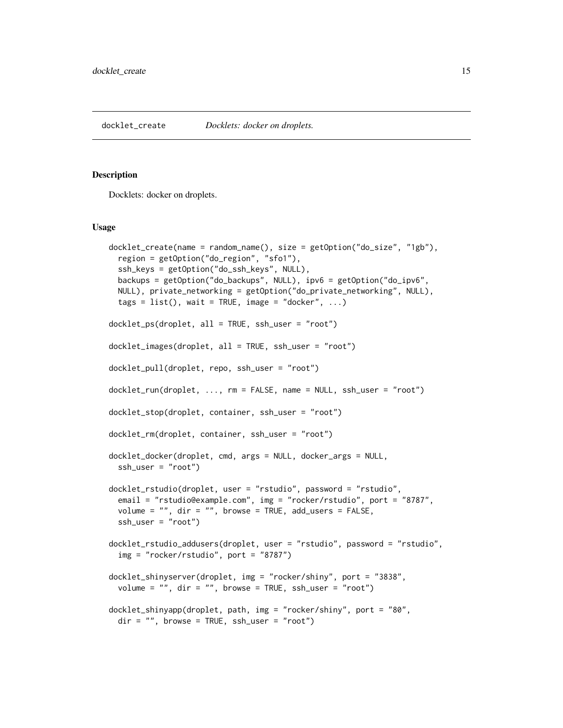#### <span id="page-14-0"></span>Description

Docklets: docker on droplets.

#### Usage

```
docklet_create(name = random_name(), size = getOption("do_size", "1gb"),
  region = getOption("do_region", "sfo1"),
  ssh_keys = getOption("do_ssh_keys", NULL),
 backups = getOption("do_backups", NULL), ipv6 = getOption("do_ipv6",
 NULL), private_networking = getOption("do_private_networking", NULL),
  tags = list(), wait = TRUE, image = "docker", ...)docklet_ps(droplet, all = TRUE, ssh_user = "root")
docklet_images(droplet, all = TRUE, ssh_user = "root")
docklet_pull(droplet, repo, ssh_user = "root")
docklet_run(droplet, ..., rm = FALSE, name = NULL, ssh_user = "root")
docklet_stop(droplet, container, ssh_user = "root")
docklet_rm(droplet, container, ssh_user = "root")
docklet_docker(droplet, cmd, args = NULL, docker_args = NULL,
 ssh_user = "root")
docklet_rstudio(droplet, user = "rstudio", password = "rstudio",
  email = "rstudio@example.com", img = "rocker/rstudio", port = "8787",
  volume = ", dir = ", browse = TRUE, add_users = FALSE,
  ssh_user = "root")
docklet_rstudio_addusers(droplet, user = "rstudio", password = "rstudio",
  img = "rocker/rstudio", port = "8787")
docklet_shinyserver(droplet, img = "rocker/shiny", port = "3838",
  volume = ", dir = ", browse = TRUE, ssh_user = "root")
docklet_shinyapp(droplet, path, img = "rocker/shiny", port = "80",
 dir = "", browse = TRUE, ssh_user = "root")
```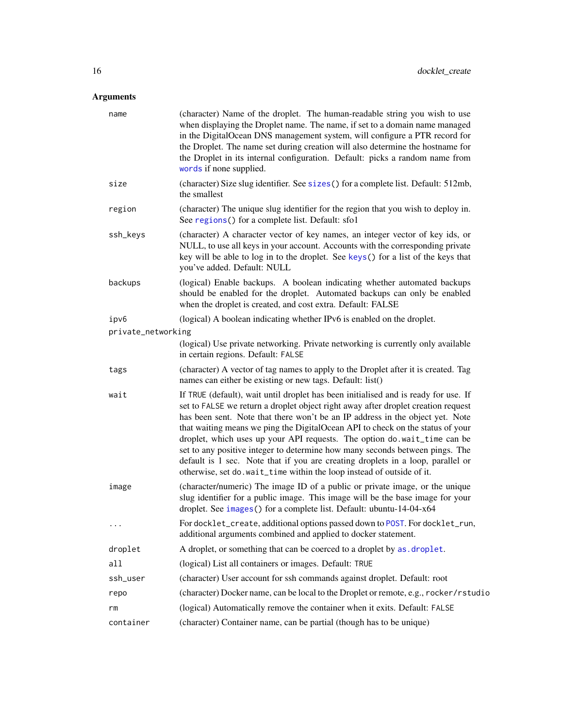<span id="page-15-0"></span>

| name               | (character) Name of the droplet. The human-readable string you wish to use<br>when displaying the Droplet name. The name, if set to a domain name managed<br>in the DigitalOcean DNS management system, will configure a PTR record for<br>the Droplet. The name set during creation will also determine the hostname for<br>the Droplet in its internal configuration. Default: picks a random name from<br>words if none supplied.                                                                                                                                                                                                                                |
|--------------------|---------------------------------------------------------------------------------------------------------------------------------------------------------------------------------------------------------------------------------------------------------------------------------------------------------------------------------------------------------------------------------------------------------------------------------------------------------------------------------------------------------------------------------------------------------------------------------------------------------------------------------------------------------------------|
| size               | (character) Size slug identifier. See sizes() for a complete list. Default: 512mb,<br>the smallest                                                                                                                                                                                                                                                                                                                                                                                                                                                                                                                                                                  |
| region             | (character) The unique slug identifier for the region that you wish to deploy in.<br>See regions () for a complete list. Default: sfo1                                                                                                                                                                                                                                                                                                                                                                                                                                                                                                                              |
| ssh_keys           | (character) A character vector of key names, an integer vector of key ids, or<br>NULL, to use all keys in your account. Accounts with the corresponding private<br>key will be able to log in to the droplet. See keys() for a list of the keys that<br>you've added. Default: NULL                                                                                                                                                                                                                                                                                                                                                                                 |
| backups            | (logical) Enable backups. A boolean indicating whether automated backups<br>should be enabled for the droplet. Automated backups can only be enabled<br>when the droplet is created, and cost extra. Default: FALSE                                                                                                                                                                                                                                                                                                                                                                                                                                                 |
| ipv6               | (logical) A boolean indicating whether IPv6 is enabled on the droplet.                                                                                                                                                                                                                                                                                                                                                                                                                                                                                                                                                                                              |
| private_networking |                                                                                                                                                                                                                                                                                                                                                                                                                                                                                                                                                                                                                                                                     |
|                    | (logical) Use private networking. Private networking is currently only available<br>in certain regions. Default: FALSE                                                                                                                                                                                                                                                                                                                                                                                                                                                                                                                                              |
| tags               | (character) A vector of tag names to apply to the Droplet after it is created. Tag<br>names can either be existing or new tags. Default: list()                                                                                                                                                                                                                                                                                                                                                                                                                                                                                                                     |
| wait               | If TRUE (default), wait until droplet has been initialised and is ready for use. If<br>set to FALSE we return a droplet object right away after droplet creation request<br>has been sent. Note that there won't be an IP address in the object yet. Note<br>that waiting means we ping the DigitalOcean API to check on the status of your<br>droplet, which uses up your API requests. The option do.wait_time can be<br>set to any positive integer to determine how many seconds between pings. The<br>default is 1 sec. Note that if you are creating droplets in a loop, parallel or<br>otherwise, set do.wait_time within the loop instead of outside of it. |
| image              | (character/numeric) The image ID of a public or private image, or the unique<br>slug identifier for a public image. This image will be the base image for your<br>droplet. See images () for a complete list. Default: ubuntu-14-04-x64                                                                                                                                                                                                                                                                                                                                                                                                                             |
| $\ddots$           | For docklet_create, additional options passed down to POST. For docklet_run,<br>additional arguments combined and applied to docker statement.                                                                                                                                                                                                                                                                                                                                                                                                                                                                                                                      |
| droplet            | A droplet, or something that can be coerced to a droplet by as. droplet.                                                                                                                                                                                                                                                                                                                                                                                                                                                                                                                                                                                            |
| all                | (logical) List all containers or images. Default: TRUE                                                                                                                                                                                                                                                                                                                                                                                                                                                                                                                                                                                                              |
| ssh_user           | (character) User account for ssh commands against droplet. Default: root                                                                                                                                                                                                                                                                                                                                                                                                                                                                                                                                                                                            |
| repo               | (character) Docker name, can be local to the Droplet or remote, e.g., rocker/rstudio                                                                                                                                                                                                                                                                                                                                                                                                                                                                                                                                                                                |
| rm                 | (logical) Automatically remove the container when it exits. Default: FALSE                                                                                                                                                                                                                                                                                                                                                                                                                                                                                                                                                                                          |
| container          | (character) Container name, can be partial (though has to be unique)                                                                                                                                                                                                                                                                                                                                                                                                                                                                                                                                                                                                |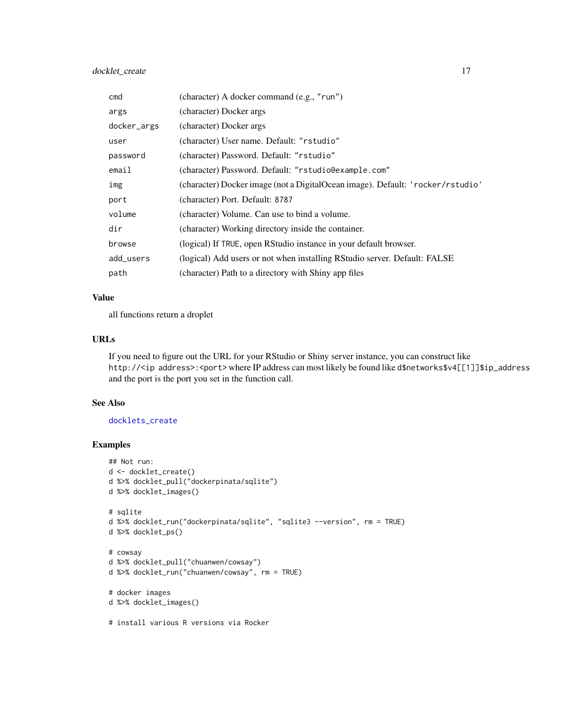### <span id="page-16-0"></span>docklet\_create 17

| cmd         | (character) A docker command (e.g., "run")                                     |
|-------------|--------------------------------------------------------------------------------|
| args        | (character) Docker args                                                        |
| docker_args | (character) Docker args                                                        |
| user        | (character) User name. Default: "rstudio"                                      |
| password    | (character) Password. Default: "rstudio"                                       |
| email       | (character) Password. Default: "rstudio@example.com"                           |
| img         | (character) Docker image (not a DigitalOcean image). Default: 'rocker/rstudio' |
| port        | (character) Port. Default: 8787                                                |
| volume      | (character) Volume. Can use to bind a volume.                                  |
| dir         | (character) Working directory inside the container.                            |
| browse      | (logical) If TRUE, open RStudio instance in your default browser.              |
| add_users   | (logical) Add users or not when installing RStudio server. Default: FALSE      |
| path        | (character) Path to a directory with Shiny app files                           |

#### Value

all functions return a droplet

### URLs

If you need to figure out the URL for your RStudio or Shiny server instance, you can construct like http://<ip address>:<port> where IP address can most likely be found like d\$networks\$v4[[1]]\$ip\_address and the port is the port you set in the function call.

#### See Also

### [docklets\\_create](#page-12-1)

### Examples

```
## Not run:
d <- docklet_create()
d %>% docklet_pull("dockerpinata/sqlite")
d %>% docklet_images()
# sqlite
d %>% docklet_run("dockerpinata/sqlite", "sqlite3 --version", rm = TRUE)
d %>% docklet_ps()
# cowsay
d %>% docklet_pull("chuanwen/cowsay")
d %>% docklet_run("chuanwen/cowsay", rm = TRUE)
# docker images
d %>% docklet_images()
# install various R versions via Rocker
```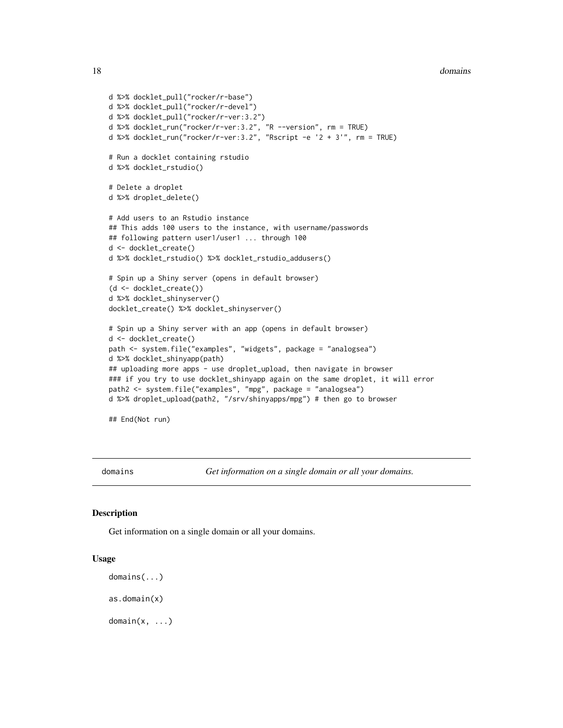```
d %>% docklet_pull("rocker/r-base")
d %>% docklet_pull("rocker/r-devel")
d %>% docklet_pull("rocker/r-ver:3.2")
d %>% docklet_run("rocker/r-ver:3.2", "R --version", rm = TRUE)
d %>% docklet_run("rocker/r-ver:3.2", "Rscript -e '2 + 3'", rm = TRUE)
# Run a docklet containing rstudio
d %>% docklet_rstudio()
# Delete a droplet
d %>% droplet_delete()
# Add users to an Rstudio instance
## This adds 100 users to the instance, with username/passwords
## following pattern user1/user1 ... through 100
d <- docklet_create()
d %>% docklet_rstudio() %>% docklet_rstudio_addusers()
# Spin up a Shiny server (opens in default browser)
(d <- docklet_create())
d %>% docklet_shinyserver()
docklet_create() %>% docklet_shinyserver()
# Spin up a Shiny server with an app (opens in default browser)
d <- docklet_create()
path <- system.file("examples", "widgets", package = "analogsea")
d %>% docklet_shinyapp(path)
## uploading more apps - use droplet_upload, then navigate in browser
### if you try to use docklet_shinyapp again on the same droplet, it will error
path2 <- system.file("examples", "mpg", package = "analogsea")
d %>% droplet_upload(path2, "/srv/shinyapps/mpg") # then go to browser
```
## End(Not run)

domains *Get information on a single domain or all your domains.*

#### **Description**

Get information on a single domain or all your domains.

#### Usage

```
domains(...)
as.domain(x)
```
 $domain(x, ...)$ 

<span id="page-17-0"></span>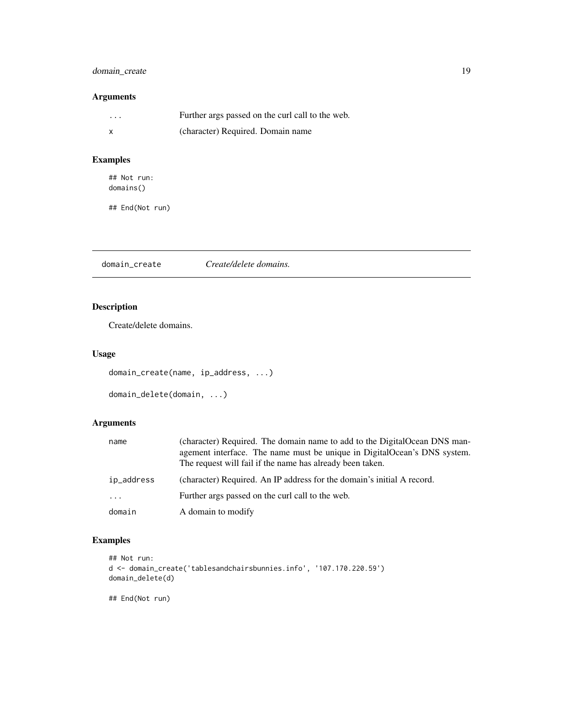### <span id="page-18-0"></span>domain\_create 19

### Arguments

| $\cdots$ | Further args passed on the curl call to the web. |
|----------|--------------------------------------------------|
|          | (character) Required. Domain name                |

### Examples

## Not run: domains()

## End(Not run)

domain\_create *Create/delete domains.*

### Description

Create/delete domains.

### Usage

```
domain_create(name, ip_address, ...)
```

```
domain_delete(domain, ...)
```
### Arguments

| name                | (character) Required. The domain name to add to the DigitalOcean DNS man-<br>agement interface. The name must be unique in DigitalOcean's DNS system.<br>The request will fail if the name has already been taken. |
|---------------------|--------------------------------------------------------------------------------------------------------------------------------------------------------------------------------------------------------------------|
| ip_address          | (character) Required. An IP address for the domain's initial A record.                                                                                                                                             |
| $\cdot \cdot \cdot$ | Further args passed on the curl call to the web.                                                                                                                                                                   |
| domain              | A domain to modify                                                                                                                                                                                                 |

### Examples

```
## Not run:
d <- domain_create('tablesandchairsbunnies.info', '107.170.220.59')
domain_delete(d)
```
## End(Not run)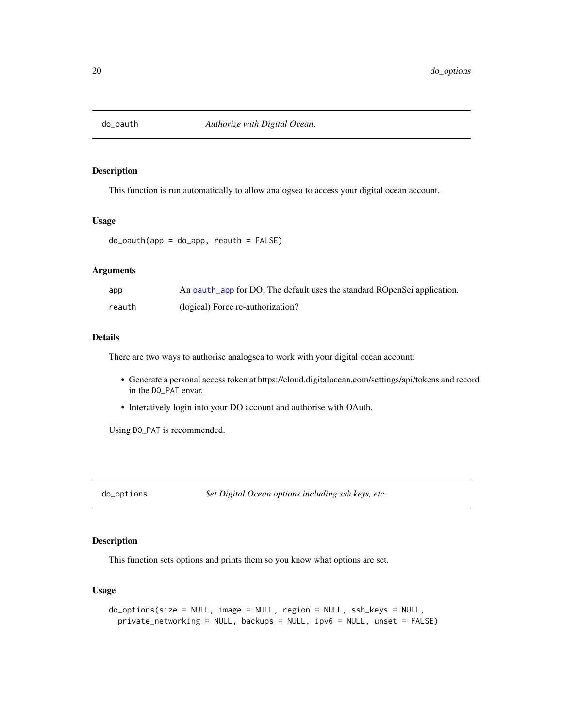<span id="page-19-1"></span><span id="page-19-0"></span>

### Description

This function is run automatically to allow analogsea to access your digital ocean account.

#### Usage

 $do_outh(ap = do_app, reach = FALSE)$ 

#### Arguments

| app    | An oauth_app for DO. The default uses the standard ROpenSci application. |
|--------|--------------------------------------------------------------------------|
| reauth | (logical) Force re-authorization?                                        |

#### Details

There are two ways to authorise analogsea to work with your digital ocean account:

- Generate a personal access token at https://cloud.digitalocean.com/settings/api/tokens and record in the DO\_PAT envar.
- Interatively login into your DO account and authorise with OAuth.

Using DO\_PAT is recommended.

do\_options *Set Digital Ocean options including ssh keys, etc.*

### Description

This function sets options and prints them so you know what options are set.

#### Usage

```
do_options(size = NULL, image = NULL, region = NULL, ssh_keys = NULL,
 private_networking = NULL, backups = NULL, ipv6 = NULL, unset = FALSE)
```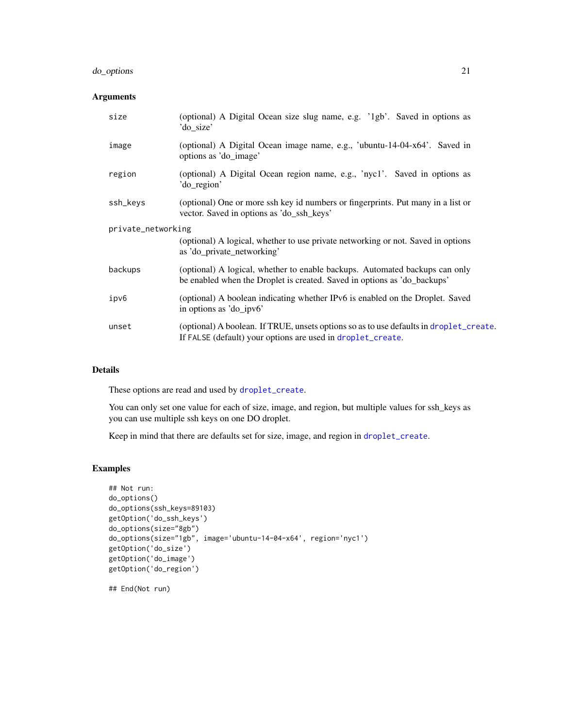### <span id="page-20-0"></span>do\_options 21

### Arguments

| size               | (optional) A Digital Ocean size slug name, e.g. '1gb'. Saved in options as<br>'do_size'                                                                 |
|--------------------|---------------------------------------------------------------------------------------------------------------------------------------------------------|
| image              | (optional) A Digital Ocean image name, e.g., 'ubuntu-14-04-x64'. Saved in<br>options as 'do_image'                                                      |
| region             | (optional) A Digital Ocean region name, e.g., 'nyc1'. Saved in options as<br>'do_region'                                                                |
| ssh_keys           | (optional) One or more ssh key id numbers or fingerprints. Put many in a list or<br>vector. Saved in options as 'do_ssh_keys'                           |
| private_networking | (optional) A logical, whether to use private networking or not. Saved in options<br>as 'do_private_networking'                                          |
| backups            | (optional) A logical, whether to enable backups. Automated backups can only<br>be enabled when the Droplet is created. Saved in options as 'do_backups' |
| ipv6               | (optional) A boolean indicating whether IPv6 is enabled on the Droplet. Saved<br>in options as 'do_ipv6'                                                |
| unset              | (optional) A boolean. If TRUE, unsets options so as to use defaults in droplet_create.<br>If FALSE (default) your options are used in droplet_create.   |

### Details

These options are read and used by [droplet\\_create](#page-27-1).

You can only set one value for each of size, image, and region, but multiple values for ssh\_keys as you can use multiple ssh keys on one DO droplet.

Keep in mind that there are defaults set for size, image, and region in [droplet\\_create](#page-27-1).

### Examples

```
## Not run:
do_options()
do_options(ssh_keys=89103)
getOption('do_ssh_keys')
do_options(size="8gb")
do_options(size="1gb", image='ubuntu-14-04-x64', region='nyc1')
getOption('do_size')
getOption('do_image')
getOption('do_region')
## End(Not run)
```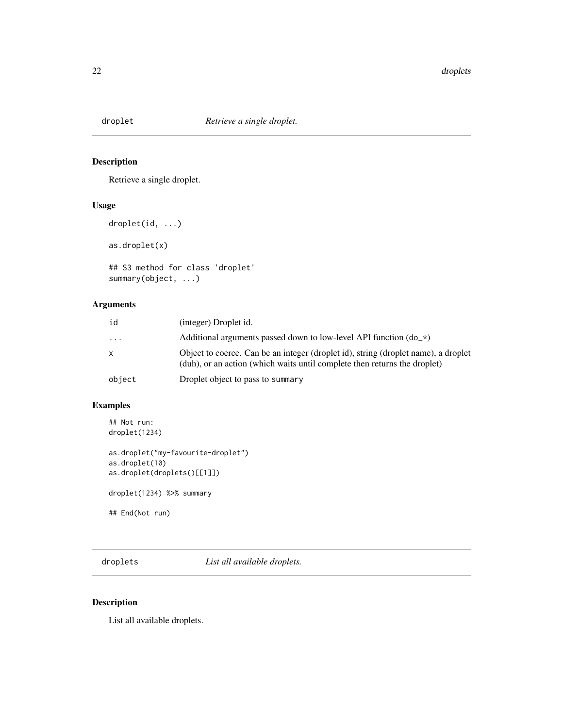<span id="page-21-0"></span>

### <span id="page-21-1"></span>Description

Retrieve a single droplet.

#### Usage

```
droplet(id, ...)
as.droplet(x)
```
## S3 method for class 'droplet' summary(object, ...)

### Arguments

| id        | (integer) Droplet id.                                                                                                                                           |
|-----------|-----------------------------------------------------------------------------------------------------------------------------------------------------------------|
| $\ddotsc$ | Additional arguments passed down to low-level API function $(d_0, \star)$                                                                                       |
| x         | Object to coerce. Can be an integer (droplet id), string (droplet name), a droplet<br>(duh), or an action (which waits until complete then returns the droplet) |
| object    | Droplet object to pass to summary                                                                                                                               |

### Examples

```
## Not run:
droplet(1234)
as.droplet("my-favourite-droplet")
as.droplet(10)
as.droplet(droplets()[[1]])
droplet(1234) %>% summary
## End(Not run)
```
<span id="page-21-2"></span>droplets *List all available droplets.*

### Description

List all available droplets.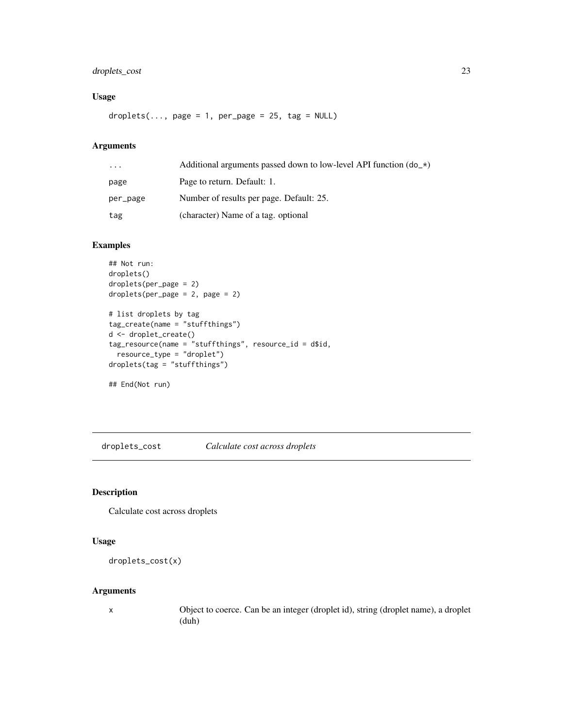### <span id="page-22-0"></span>droplets\_cost 23

### Usage

 $droplets(..., page = 1, per-page = 25, tag = NULL)$ 

### Arguments

| $\ddotsc$ | Additional arguments passed down to low-level API function $(d_0 x)$ |
|-----------|----------------------------------------------------------------------|
| page      | Page to return. Default: 1.                                          |
| per_page  | Number of results per page. Default: 25.                             |
| tag       | (character) Name of a tag. optional                                  |

### Examples

```
## Not run:
droplets()
droplets(per_page = 2)
droplets(per_page = 2, page = 2)
# list droplets by tag
tag_create(name = "stuffthings")
d <- droplet_create()
tag_resource(name = "stuffthings", resource_id = d$id,
  resource_type = "droplet")
droplets(tag = "stuffthings")
## End(Not run)
```
droplets\_cost *Calculate cost across droplets*

### Description

Calculate cost across droplets

### Usage

```
droplets_cost(x)
```
### Arguments

x Object to coerce. Can be an integer (droplet id), string (droplet name), a droplet (duh)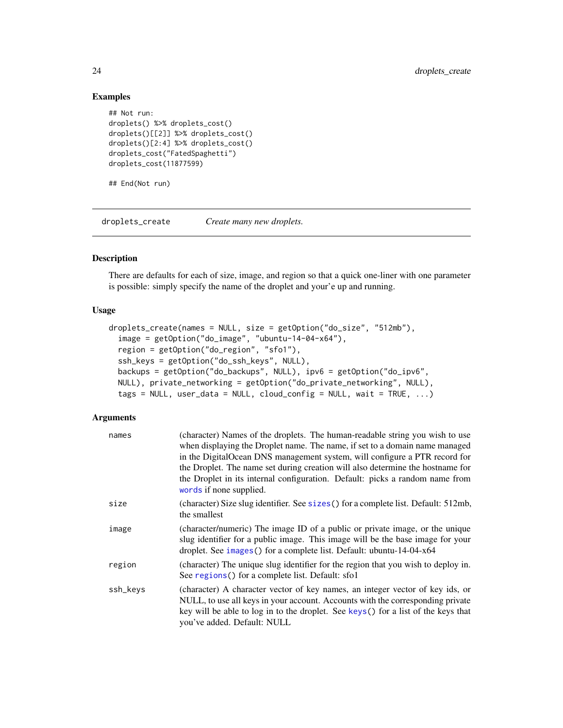#### Examples

```
## Not run:
droplets() %>% droplets_cost()
droplets()[[2]] %>% droplets_cost()
droplets()[2:4] %>% droplets_cost()
droplets_cost("FatedSpaghetti")
droplets_cost(11877599)
```
## End(Not run)

droplets\_create *Create many new droplets.*

### Description

There are defaults for each of size, image, and region so that a quick one-liner with one parameter is possible: simply specify the name of the droplet and your'e up and running.

#### Usage

```
droplets_create(names = NULL, size = getOption("do_size", "512mb"),
 image = getOption("do_image", "ubuntu-14-04-x64"),
 region = getOption("do_region", "sfo1"),
 ssh_keys = getOption("do_ssh_keys", NULL),
 backups = getOption("do_backups", NULL), ipv6 = getOption("do_ipv6",
 NULL), private_networking = getOption("do_private_networking", NULL),
  tags = NULL, user_data = NULL, cloudconfig = NULL, wait = TRUE, ...)
```

| names    | (character) Names of the droplets. The human-readable string you wish to use<br>when displaying the Droplet name. The name, if set to a domain name managed<br>in the DigitalOcean DNS management system, will configure a PTR record for<br>the Droplet. The name set during creation will also determine the hostname for<br>the Droplet in its internal configuration. Default: picks a random name from<br>words if none supplied. |
|----------|----------------------------------------------------------------------------------------------------------------------------------------------------------------------------------------------------------------------------------------------------------------------------------------------------------------------------------------------------------------------------------------------------------------------------------------|
| size     | (character) Size slug identifier. See sizes () for a complete list. Default: 512mb,<br>the smallest                                                                                                                                                                                                                                                                                                                                    |
| image    | (character/numeric) The image ID of a public or private image, or the unique<br>slug identifier for a public image. This image will be the base image for your<br>droplet. See images () for a complete list. Default: ubuntu-14-04-x64                                                                                                                                                                                                |
| region   | (character) The unique slug identifier for the region that you wish to deploy in.<br>See regions () for a complete list. Default: sfo1                                                                                                                                                                                                                                                                                                 |
| ssh_keys | (character) A character vector of key names, an integer vector of key ids, or<br>NULL, to use all keys in your account. Accounts with the corresponding private<br>key will be able to log in to the droplet. See keys() for a list of the keys that<br>you've added. Default: NULL                                                                                                                                                    |

<span id="page-23-0"></span>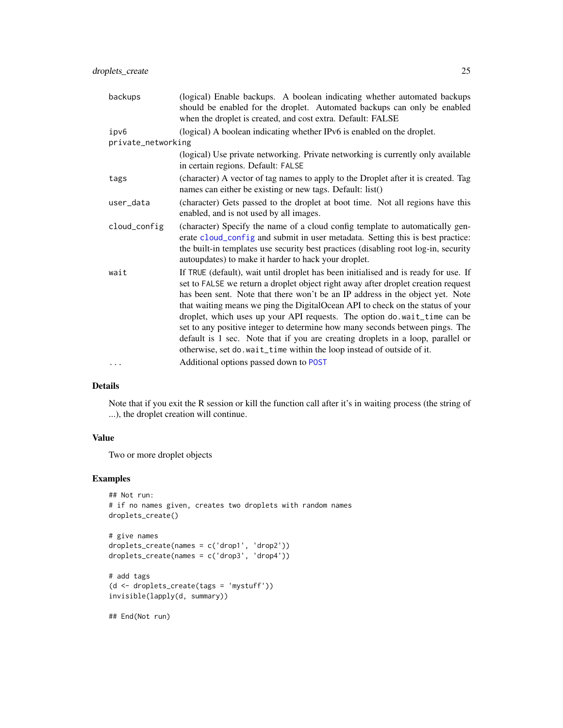<span id="page-24-0"></span>

| backups            | (logical) Enable backups. A boolean indicating whether automated backups<br>should be enabled for the droplet. Automated backups can only be enabled<br>when the droplet is created, and cost extra. Default: FALSE                                                                                                                                                                                                                                                                                                                                                                                                                                                  |
|--------------------|----------------------------------------------------------------------------------------------------------------------------------------------------------------------------------------------------------------------------------------------------------------------------------------------------------------------------------------------------------------------------------------------------------------------------------------------------------------------------------------------------------------------------------------------------------------------------------------------------------------------------------------------------------------------|
| ipv6               | (logical) A boolean indicating whether IPv6 is enabled on the droplet.                                                                                                                                                                                                                                                                                                                                                                                                                                                                                                                                                                                               |
| private_networking |                                                                                                                                                                                                                                                                                                                                                                                                                                                                                                                                                                                                                                                                      |
|                    | (logical) Use private networking. Private networking is currently only available<br>in certain regions. Default: FALSE                                                                                                                                                                                                                                                                                                                                                                                                                                                                                                                                               |
| tags               | (character) A vector of tag names to apply to the Droplet after it is created. Tag<br>names can either be existing or new tags. Default: list()                                                                                                                                                                                                                                                                                                                                                                                                                                                                                                                      |
| user_data          | (character) Gets passed to the droplet at boot time. Not all regions have this<br>enabled, and is not used by all images.                                                                                                                                                                                                                                                                                                                                                                                                                                                                                                                                            |
| cloud_config       | (character) Specify the name of a cloud config template to automatically gen-<br>erate cloud_config and submit in user metadata. Setting this is best practice:<br>the built-in templates use security best practices (disabling root log-in, security<br>autoupdates) to make it harder to hack your droplet.                                                                                                                                                                                                                                                                                                                                                       |
| wait               | If TRUE (default), wait until droplet has been initialised and is ready for use. If<br>set to FALSE we return a droplet object right away after droplet creation request<br>has been sent. Note that there won't be an IP address in the object yet. Note<br>that waiting means we ping the DigitalOcean API to check on the status of your<br>droplet, which uses up your API requests. The option do.wait_time can be<br>set to any positive integer to determine how many seconds between pings. The<br>default is 1 sec. Note that if you are creating droplets in a loop, parallel or<br>otherwise, set do. wait_time within the loop instead of outside of it. |
| .                  | Additional options passed down to POST                                                                                                                                                                                                                                                                                                                                                                                                                                                                                                                                                                                                                               |

### Details

Note that if you exit the R session or kill the function call after it's in waiting process (the string of ...), the droplet creation will continue.

### Value

Two or more droplet objects

### Examples

```
## Not run:
# if no names given, creates two droplets with random names
droplets_create()
# give names
droplets_create(names = c('drop1', 'drop2'))
droplets_create(names = c('drop3', 'drop4'))
# add tags
```

```
(d <- droplets_create(tags = 'mystuff'))
invisible(lapply(d, summary))
```
## End(Not run)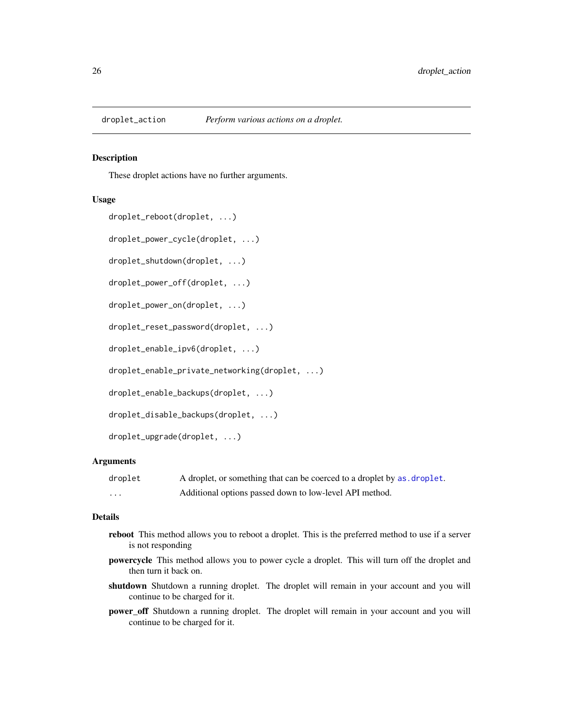<span id="page-25-0"></span>

#### Description

These droplet actions have no further arguments.

#### Usage

```
droplet_reboot(droplet, ...)
```
droplet\_power\_cycle(droplet, ...)

droplet\_shutdown(droplet, ...)

droplet\_power\_off(droplet, ...)

droplet\_power\_on(droplet, ...)

droplet\_reset\_password(droplet, ...)

droplet\_enable\_ipv6(droplet, ...)

droplet\_enable\_private\_networking(droplet, ...)

droplet\_enable\_backups(droplet, ...)

droplet\_disable\_backups(droplet, ...)

droplet\_upgrade(droplet, ...)

### Arguments

| droplet | A droplet, or something that can be coerced to a droplet by as droplet. |
|---------|-------------------------------------------------------------------------|
| .       | Additional options passed down to low-level API method.                 |

#### Details

- reboot This method allows you to reboot a droplet. This is the preferred method to use if a server is not responding
- powercycle This method allows you to power cycle a droplet. This will turn off the droplet and then turn it back on.
- shutdown Shutdown a running droplet. The droplet will remain in your account and you will continue to be charged for it.
- power\_off Shutdown a running droplet. The droplet will remain in your account and you will continue to be charged for it.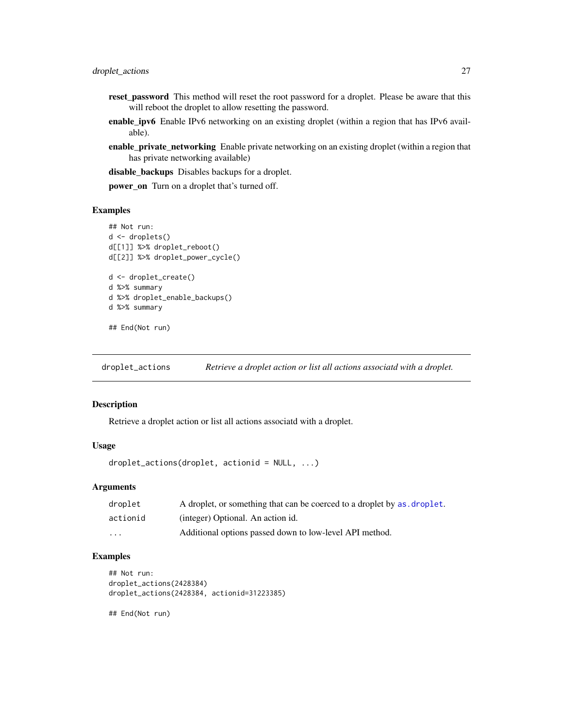- <span id="page-26-0"></span>reset\_password This method will reset the root password for a droplet. Please be aware that this will reboot the droplet to allow resetting the password.
- enable\_ipv6 Enable IPv6 networking on an existing droplet (within a region that has IPv6 available).
- enable\_private\_networking Enable private networking on an existing droplet (within a region that has private networking available)

disable\_backups Disables backups for a droplet.

power\_on Turn on a droplet that's turned off.

#### Examples

```
## Not run:
d <- droplets()
d[[1]] %>% droplet_reboot()
d[[2]] %>% droplet_power_cycle()
d <- droplet_create()
d %>% summary
d %>% droplet_enable_backups()
d %>% summary
## End(Not run)
```
droplet\_actions *Retrieve a droplet action or list all actions associatd with a droplet.*

### Description

Retrieve a droplet action or list all actions associatd with a droplet.

#### Usage

```
droplet_actions(droplet, actionid = NULL, ...)
```
#### Arguments

| droplet                 | A droplet, or something that can be coerced to a droplet by as, droplet. |
|-------------------------|--------------------------------------------------------------------------|
| actionid                | (integer) Optional. An action id.                                        |
| $\cdot$ $\cdot$ $\cdot$ | Additional options passed down to low-level API method.                  |

### Examples

```
## Not run:
droplet_actions(2428384)
droplet_actions(2428384, actionid=31223385)
```
## End(Not run)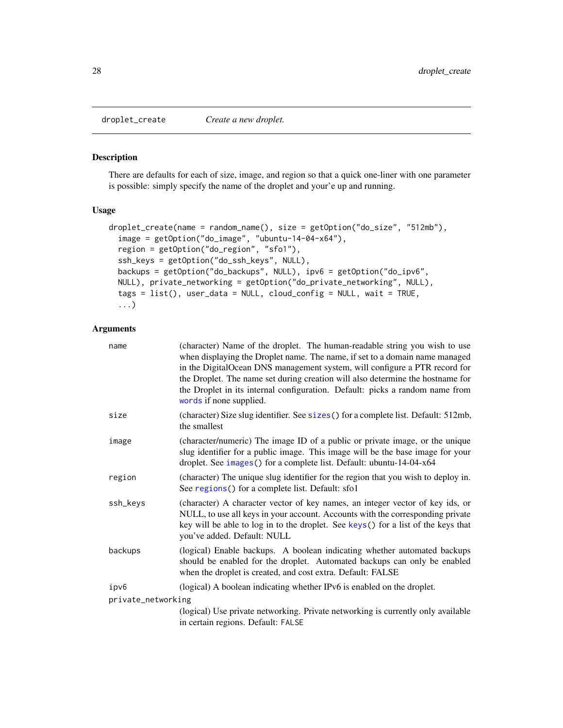<span id="page-27-1"></span><span id="page-27-0"></span>droplet\_create *Create a new droplet.*

### Description

There are defaults for each of size, image, and region so that a quick one-liner with one parameter is possible: simply specify the name of the droplet and your'e up and running.

#### Usage

```
droplet_create(name = random_name(), size = getOption("do_size", "512mb"),
  image = getOption("do_image", "ubuntu-14-04-x64"),
  region = getOption("do_region", "sfo1"),
  ssh_keys = getOption("do_ssh_keys", NULL),
 backups = getOption("do_backups", NULL), ipv6 = getOption("do_ipv6",
 NULL), private_networking = getOption("do_private_networking", NULL),
  tags = list(), user_data = NULL, cloud_config = NULL, wait = TRUE,
  ...)
```

| name               | (character) Name of the droplet. The human-readable string you wish to use<br>when displaying the Droplet name. The name, if set to a domain name managed<br>in the DigitalOcean DNS management system, will configure a PTR record for<br>the Droplet. The name set during creation will also determine the hostname for<br>the Droplet in its internal configuration. Default: picks a random name from<br>words if none supplied. |
|--------------------|--------------------------------------------------------------------------------------------------------------------------------------------------------------------------------------------------------------------------------------------------------------------------------------------------------------------------------------------------------------------------------------------------------------------------------------|
| size               | (character) Size slug identifier. See sizes () for a complete list. Default: 512mb,<br>the smallest                                                                                                                                                                                                                                                                                                                                  |
| image              | (character/numeric) The image ID of a public or private image, or the unique<br>slug identifier for a public image. This image will be the base image for your<br>droplet. See images () for a complete list. Default: ubuntu-14-04-x64                                                                                                                                                                                              |
| region             | (character) The unique slug identifier for the region that you wish to deploy in.<br>See regions () for a complete list. Default: sfo1                                                                                                                                                                                                                                                                                               |
| ssh_keys           | (character) A character vector of key names, an integer vector of key ids, or<br>NULL, to use all keys in your account. Accounts with the corresponding private<br>key will be able to log in to the droplet. See keys() for a list of the keys that<br>you've added. Default: NULL                                                                                                                                                  |
| backups            | (logical) Enable backups. A boolean indicating whether automated backups<br>should be enabled for the droplet. Automated backups can only be enabled<br>when the droplet is created, and cost extra. Default: FALSE                                                                                                                                                                                                                  |
| ipv6               | (logical) A boolean indicating whether IPv6 is enabled on the droplet.                                                                                                                                                                                                                                                                                                                                                               |
| private_networking |                                                                                                                                                                                                                                                                                                                                                                                                                                      |
|                    | (logical) Use private networking. Private networking is currently only available<br>in certain regions. Default: FALSE                                                                                                                                                                                                                                                                                                               |
|                    |                                                                                                                                                                                                                                                                                                                                                                                                                                      |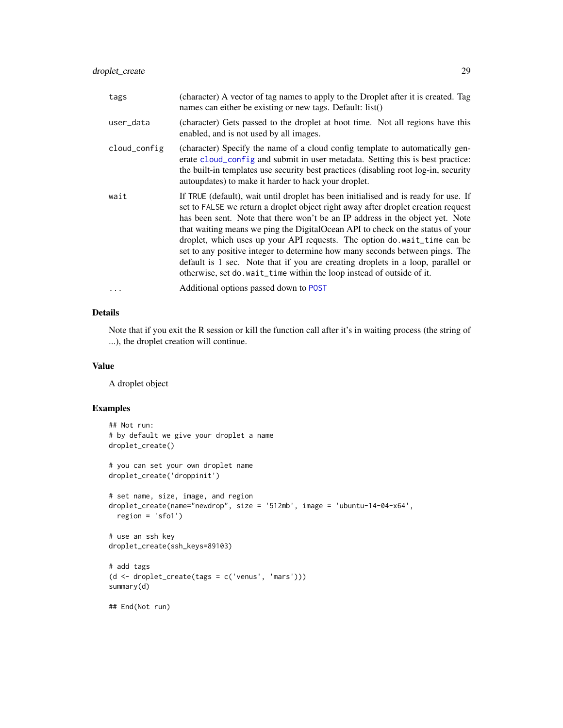<span id="page-28-0"></span>

| tags         | (character) A vector of tag names to apply to the Droplet after it is created. Tag<br>names can either be existing or new tags. Default: list()                                                                                                                                                                                                                                                                                                                                                                                                                                                                                                                     |
|--------------|---------------------------------------------------------------------------------------------------------------------------------------------------------------------------------------------------------------------------------------------------------------------------------------------------------------------------------------------------------------------------------------------------------------------------------------------------------------------------------------------------------------------------------------------------------------------------------------------------------------------------------------------------------------------|
| user_data    | (character) Gets passed to the droplet at boot time. Not all regions have this<br>enabled, and is not used by all images.                                                                                                                                                                                                                                                                                                                                                                                                                                                                                                                                           |
| cloud_config | (character) Specify the name of a cloud config template to automatically gen-<br>erate cloud_config and submit in user metadata. Setting this is best practice:<br>the built-in templates use security best practices (disabling root log-in, security<br>autoupdates) to make it harder to hack your droplet.                                                                                                                                                                                                                                                                                                                                                      |
| wait         | If TRUE (default), wait until droplet has been initialised and is ready for use. If<br>set to FALSE we return a droplet object right away after droplet creation request<br>has been sent. Note that there won't be an IP address in the object yet. Note<br>that waiting means we ping the DigitalOcean API to check on the status of your<br>droplet, which uses up your API requests. The option do.wait_time can be<br>set to any positive integer to determine how many seconds between pings. The<br>default is 1 sec. Note that if you are creating droplets in a loop, parallel or<br>otherwise, set do.wait_time within the loop instead of outside of it. |
| $\cdots$     | Additional options passed down to POST                                                                                                                                                                                                                                                                                                                                                                                                                                                                                                                                                                                                                              |

### Details

Note that if you exit the R session or kill the function call after it's in waiting process (the string of ...), the droplet creation will continue.

#### Value

A droplet object

### Examples

```
## Not run:
# by default we give your droplet a name
droplet_create()
# you can set your own droplet name
droplet_create('droppinit')
# set name, size, image, and region
droplet_create(name="newdrop", size = '512mb', image = 'ubuntu-14-04-x64',
  region = 'sfo1')
# use an ssh key
droplet_create(ssh_keys=89103)
# add tags
(d <- droplet_create(tags = c('venus', 'mars')))
summary(d)
## End(Not run)
```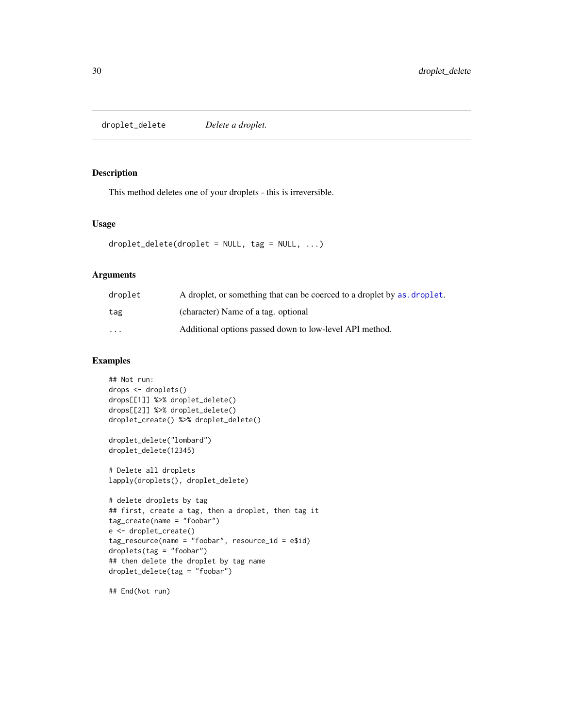<span id="page-29-0"></span>droplet\_delete *Delete a droplet.*

#### Description

This method deletes one of your droplets - this is irreversible.

### Usage

```
droplet\_delete(droplet = NULL, tag = NULL, ...)
```
### Arguments

| droplet | A droplet, or something that can be coerced to a droplet by as, droplet. |
|---------|--------------------------------------------------------------------------|
| tag     | (character) Name of a tag. optional                                      |
| $\cdot$ | Additional options passed down to low-level API method.                  |

### Examples

```
## Not run:
drops <- droplets()
drops[[1]] %>% droplet_delete()
drops[[2]] %>% droplet_delete()
droplet_create() %>% droplet_delete()
droplet_delete("lombard")
droplet_delete(12345)
# Delete all droplets
lapply(droplets(), droplet_delete)
# delete droplets by tag
## first, create a tag, then a droplet, then tag it
tag_create(name = "foobar")
e <- droplet_create()
tag\_resource(name = "foobar", resource_id = e$id)droplets(tag = "foobar")
## then delete the droplet by tag name
droplet_delete(tag = "foobar")
```
## End(Not run)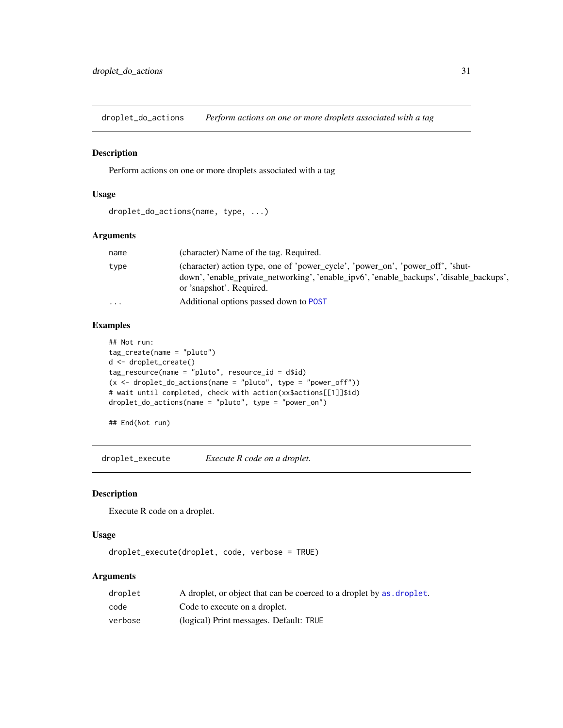<span id="page-30-0"></span>droplet\_do\_actions *Perform actions on one or more droplets associated with a tag*

#### Description

Perform actions on one or more droplets associated with a tag

#### Usage

```
droplet_do_actions(name, type, ...)
```
#### Arguments

| name      | (character) Name of the tag. Required.                                                                                                                                                                |
|-----------|-------------------------------------------------------------------------------------------------------------------------------------------------------------------------------------------------------|
| type      | (character) action type, one of 'power_cycle', 'power_on', 'power_off', 'shut-<br>down', 'enable_private_networking', 'enable_ipv6', 'enable_backups', 'disable_backups',<br>or 'snapshot'. Required. |
| $\ddotsc$ | Additional options passed down to POST                                                                                                                                                                |

### Examples

```
## Not run:
tag_create(name = "pluto")
d <- droplet_create()
tag_resource(name = "pluto", resource_id = d$id)
(x \leq - droplet_do_actions(name = "pluto", type = "power_off"))
# wait until completed, check with action(xx$actions[[1]]$id)
droplet_do_actions(name = "pluto", type = "power_on")
```

```
## End(Not run)
```
droplet\_execute *Execute R code on a droplet.*

### Description

Execute R code on a droplet.

#### Usage

```
droplet_execute(droplet, code, verbose = TRUE)
```

| droplet | A droplet, or object that can be coerced to a droplet by as droplet. |
|---------|----------------------------------------------------------------------|
| code    | Code to execute on a droplet.                                        |
| verbose | (logical) Print messages. Default: TRUE                              |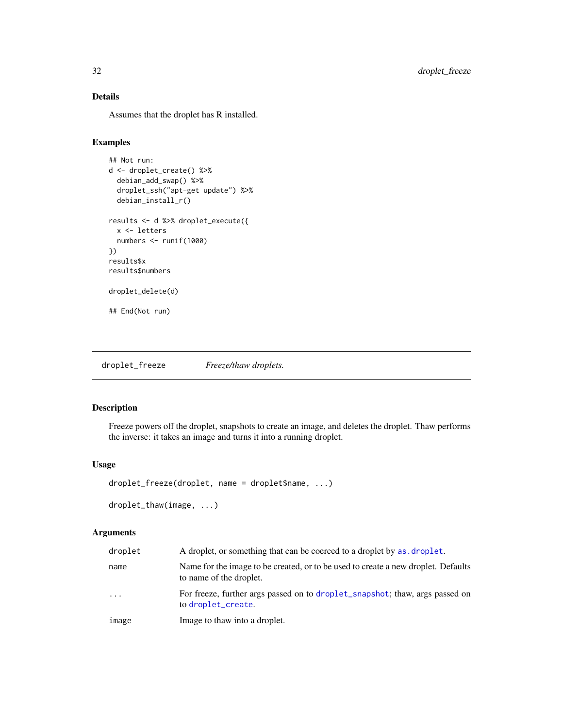### Details

Assumes that the droplet has R installed.

### Examples

```
## Not run:
d <- droplet_create() %>%
 debian_add_swap() %>%
 droplet_ssh("apt-get update") %>%
 debian_install_r()
results <- d %>% droplet_execute({
 x <- letters
 numbers <- runif(1000)
})
results$x
results$numbers
droplet_delete(d)
## End(Not run)
```
droplet\_freeze *Freeze/thaw droplets.*

### Description

Freeze powers off the droplet, snapshots to create an image, and deletes the droplet. Thaw performs the inverse: it takes an image and turns it into a running droplet.

### Usage

```
droplet_freeze(droplet, name = droplet$name, ...)
```

```
droplet_thaw(image, ...)
```

| droplet | A droplet, or something that can be coerced to a droplet by as droplet.                                      |
|---------|--------------------------------------------------------------------------------------------------------------|
| name    | Name for the image to be created, or to be used to create a new droplet. Defaults<br>to name of the droplet. |
| .       | For freeze, further args passed on to droplet_snapshot; thaw, args passed on<br>to droplet_create.           |
| image   | Image to thaw into a droplet.                                                                                |

<span id="page-31-0"></span>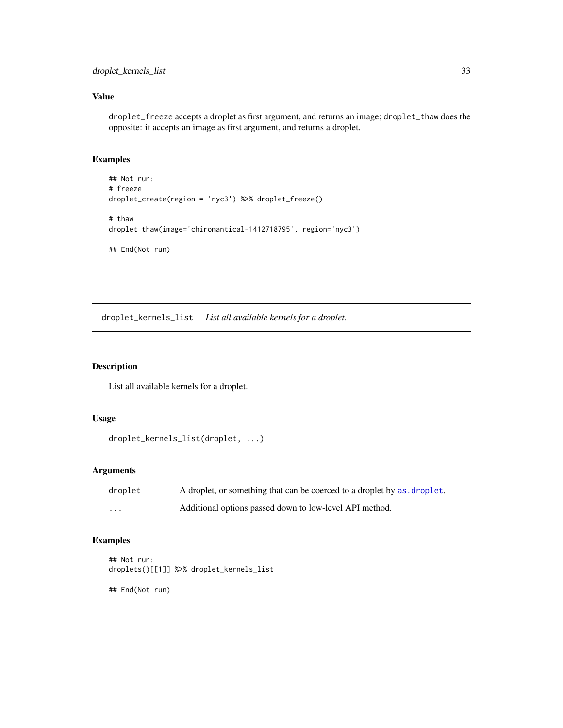### <span id="page-32-0"></span>Value

droplet\_freeze accepts a droplet as first argument, and returns an image; droplet\_thaw does the opposite: it accepts an image as first argument, and returns a droplet.

### Examples

```
## Not run:
# freeze
droplet_create(region = 'nyc3') %>% droplet_freeze()
# thaw
droplet_thaw(image='chiromantical-1412718795', region='nyc3')
## End(Not run)
```
droplet\_kernels\_list *List all available kernels for a droplet.*

### Description

List all available kernels for a droplet.

### Usage

```
droplet_kernels_list(droplet, ...)
```
### Arguments

| droplet           | A droplet, or something that can be coerced to a droplet by as droplet. |
|-------------------|-------------------------------------------------------------------------|
| $\cdot\cdot\cdot$ | Additional options passed down to low-level API method.                 |

### Examples

```
## Not run:
droplets()[[1]] %>% droplet_kernels_list
## End(Not run)
```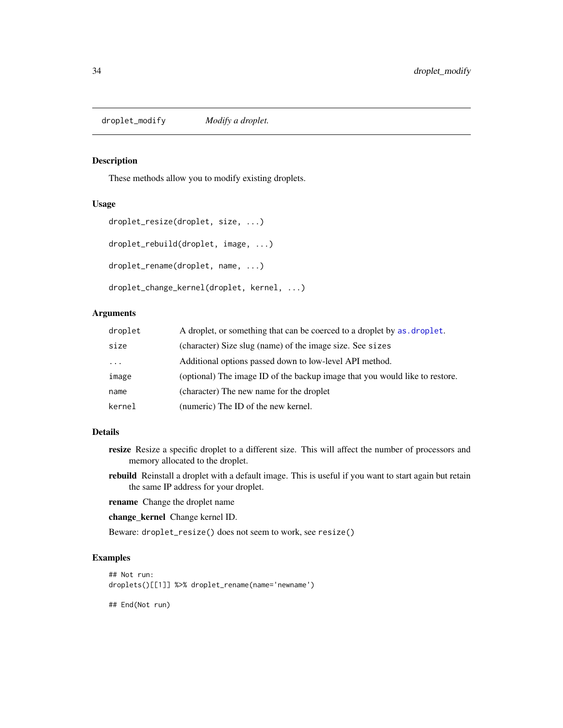<span id="page-33-0"></span>droplet\_modify *Modify a droplet.*

### Description

These methods allow you to modify existing droplets.

#### Usage

```
droplet_resize(droplet, size, ...)
droplet_rebuild(droplet, image, ...)
droplet_rename(droplet, name, ...)
droplet_change_kernel(droplet, kernel, ...)
```
### Arguments

| droplet | A droplet, or something that can be coerced to a droplet by as droplet.     |
|---------|-----------------------------------------------------------------------------|
| size    | (character) Size slug (name) of the image size. See sizes                   |
| $\cdot$ | Additional options passed down to low-level API method.                     |
| image   | (optional) The image ID of the backup image that you would like to restore. |
| name    | (character) The new name for the droplet                                    |
| kernel  | (numeric) The ID of the new kernel.                                         |

#### Details

- resize Resize a specific droplet to a different size. This will affect the number of processors and memory allocated to the droplet.
- rebuild Reinstall a droplet with a default image. This is useful if you want to start again but retain the same IP address for your droplet.
- rename Change the droplet name
- change\_kernel Change kernel ID.

Beware: droplet\_resize() does not seem to work, see resize()

#### Examples

```
## Not run:
droplets()[[1]] %>% droplet_rename(name='newname')
## End(Not run)
```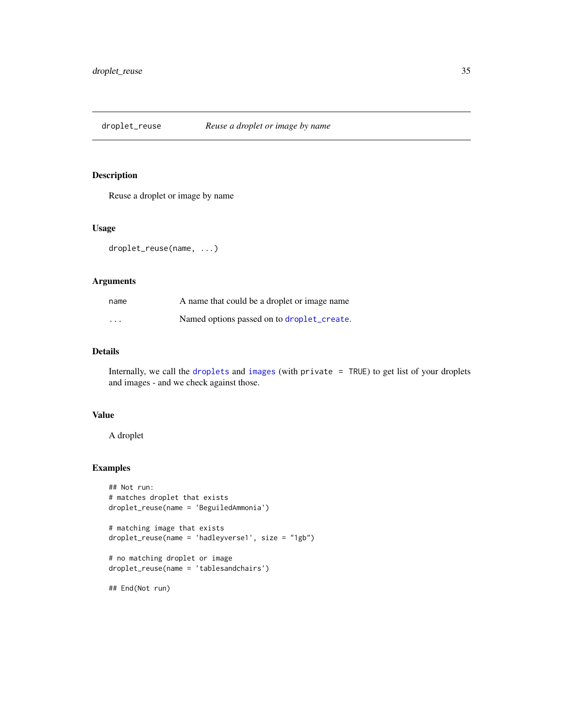<span id="page-34-0"></span>droplet\_reuse *Reuse a droplet or image by name*

### Description

Reuse a droplet or image by name

### Usage

droplet\_reuse(name, ...)

### Arguments

| name     | A name that could be a droplet or image name |
|----------|----------------------------------------------|
| $\cdots$ | Named options passed on to droplet_create.   |

### Details

Internally, we call the [droplets](#page-21-2) and [images](#page-7-1) (with private = TRUE) to get list of your droplets and images - and we check against those.

### Value

A droplet

### Examples

```
## Not run:
# matches droplet that exists
droplet_reuse(name = 'BeguiledAmmonia')
# matching image that exists
droplet_reuse(name = 'hadleyverse1', size = "1gb")
# no matching droplet or image
droplet_reuse(name = 'tablesandchairs')
```
## End(Not run)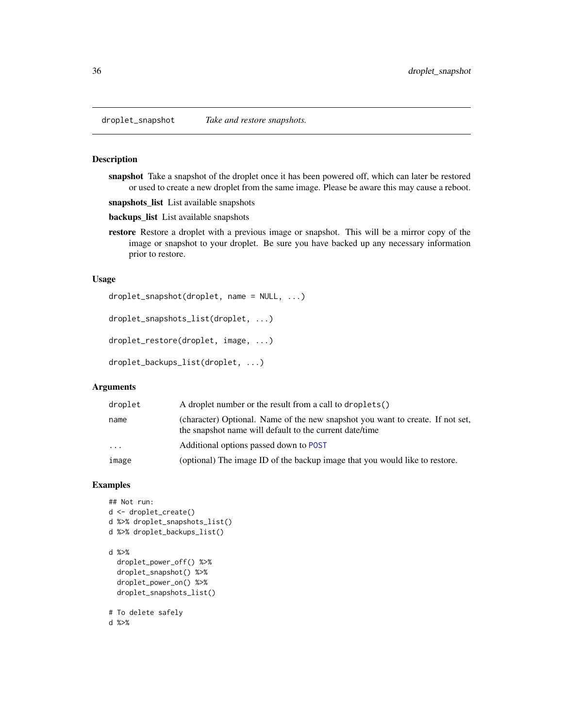<span id="page-35-1"></span><span id="page-35-0"></span>

#### Description

snapshot Take a snapshot of the droplet once it has been powered off, which can later be restored or used to create a new droplet from the same image. Please be aware this may cause a reboot.

snapshots\_list List available snapshots

backups\_list List available snapshots

restore Restore a droplet with a previous image or snapshot. This will be a mirror copy of the image or snapshot to your droplet. Be sure you have backed up any necessary information prior to restore.

#### Usage

```
droplet_snapshot(droplet, name = NULL, ...)
```

```
droplet_snapshots_list(droplet, ...)
```

```
droplet_restore(droplet, image, ...)
```

```
droplet_backups_list(droplet, ...)
```
### Arguments

| droplet  | A droplet number or the result from a call to droplets()                                                                                  |
|----------|-------------------------------------------------------------------------------------------------------------------------------------------|
| name     | (character) Optional. Name of the new snapshot you want to create. If not set,<br>the snapshot name will default to the current date/time |
| $\cdots$ | Additional options passed down to POST                                                                                                    |
| image    | (optional) The image ID of the backup image that you would like to restore.                                                               |

### Examples

```
## Not run:
d <- droplet_create()
d %>% droplet_snapshots_list()
d %>% droplet_backups_list()
d %>%
  droplet_power_off() %>%
  droplet_snapshot() %>%
  droplet_power_on() %>%
  droplet_snapshots_list()
# To delete safely
d %>%
```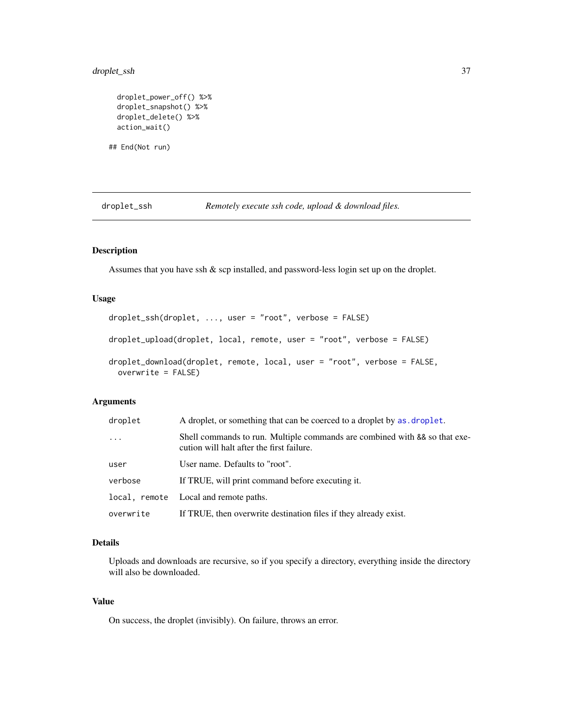### <span id="page-36-0"></span>droplet\_ssh 37

```
droplet_power_off() %>%
droplet_snapshot() %>%
droplet_delete() %>%
action_wait()
```
## End(Not run)

droplet\_ssh *Remotely execute ssh code, upload & download files.*

### Description

Assumes that you have ssh & scp installed, and password-less login set up on the droplet.

### Usage

```
droplet_ssh(droplet, ..., user = "root", verbose = FALSE)
droplet_upload(droplet, local, remote, user = "root", verbose = FALSE)
droplet_download(droplet, remote, local, user = "root", verbose = FALSE,
 overwrite = FALSE)
```
### Arguments

| droplet   | A droplet, or something that can be coerced to a droplet by as droplet.                                                 |
|-----------|-------------------------------------------------------------------------------------------------------------------------|
| $\ddotsc$ | Shell commands to run. Multiple commands are combined with && so that exe-<br>cution will halt after the first failure. |
| user      | User name. Defaults to "root".                                                                                          |
| verbose   | If TRUE, will print command before executing it.                                                                        |
|           | local, remote Local and remote paths.                                                                                   |
| overwrite | If TRUE, then overwrite destination files if they already exist.                                                        |

### Details

Uploads and downloads are recursive, so if you specify a directory, everything inside the directory will also be downloaded.

### Value

On success, the droplet (invisibly). On failure, throws an error.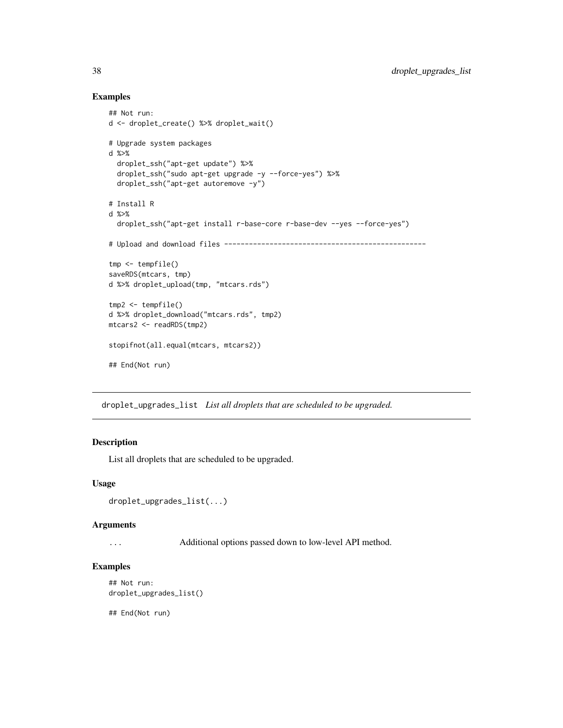### Examples

```
## Not run:
d <- droplet_create() %>% droplet_wait()
# Upgrade system packages
d %>%
  droplet_ssh("apt-get update") %>%
  droplet_ssh("sudo apt-get upgrade -y --force-yes") %>%
  droplet_ssh("apt-get autoremove -y")
# Install R
d %>%
  droplet_ssh("apt-get install r-base-core r-base-dev --yes --force-yes")
# Upload and download files -------------------------------------------------
tmp <- tempfile()
saveRDS(mtcars, tmp)
d %>% droplet_upload(tmp, "mtcars.rds")
tmp2 <- tempfile()
d %>% droplet_download("mtcars.rds", tmp2)
mtcars2 <- readRDS(tmp2)
stopifnot(all.equal(mtcars, mtcars2))
## End(Not run)
```
droplet\_upgrades\_list *List all droplets that are scheduled to be upgraded.*

#### Description

List all droplets that are scheduled to be upgraded.

#### Usage

```
droplet_upgrades_list(...)
```
#### Arguments

... Additional options passed down to low-level API method.

### Examples

```
## Not run:
droplet_upgrades_list()
```
## End(Not run)

<span id="page-37-0"></span>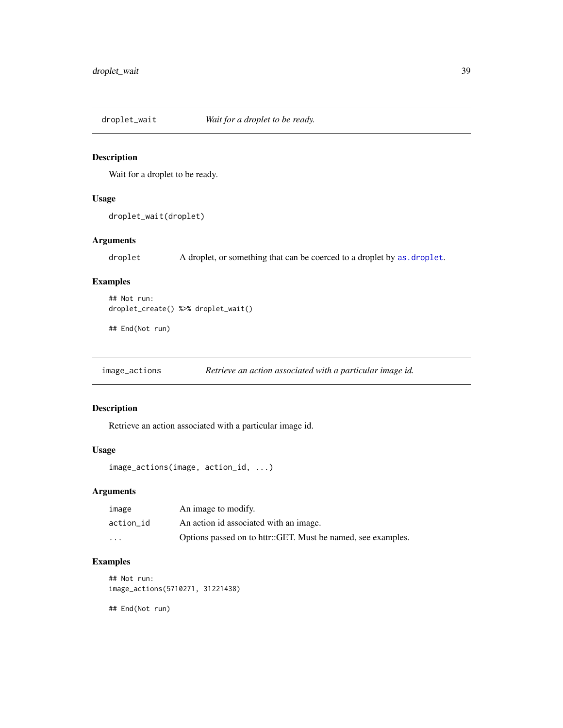<span id="page-38-1"></span><span id="page-38-0"></span>

### Description

Wait for a droplet to be ready.

#### Usage

droplet\_wait(droplet)

### Arguments

droplet A droplet, or something that can be coerced to a droplet by as. droplet.

### Examples

```
## Not run:
droplet_create() %>% droplet_wait()
```
## End(Not run)

image\_actions *Retrieve an action associated with a particular image id.*

### Description

Retrieve an action associated with a particular image id.

### Usage

```
image_actions(image, action_id, ...)
```
### Arguments

| image     | An image to modify.                                          |
|-----------|--------------------------------------------------------------|
| action id | An action id associated with an image.                       |
| $\cdots$  | Options passed on to httr::GET. Must be named, see examples. |

### Examples

```
## Not run:
image_actions(5710271, 31221438)
```
## End(Not run)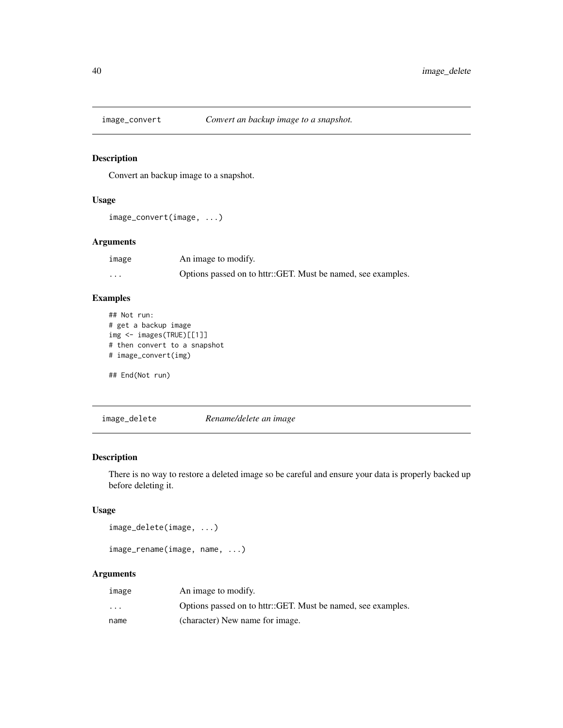<span id="page-39-0"></span>

### Description

Convert an backup image to a snapshot.

### Usage

```
image_convert(image, ...)
```
### Arguments

| image   | An image to modify.                                          |
|---------|--------------------------------------------------------------|
| $\cdot$ | Options passed on to httr::GET. Must be named, see examples. |

### Examples

```
## Not run:
# get a backup image
img <- images(TRUE)[[1]]
# then convert to a snapshot
# image_convert(img)
## End(Not run)
```
image\_delete *Rename/delete an image*

#### Description

There is no way to restore a deleted image so be careful and ensure your data is properly backed up before deleting it.

### Usage

```
image_delete(image, ...)
```

```
image_rename(image, name, ...)
```

| image                | An image to modify.                                          |
|----------------------|--------------------------------------------------------------|
| $\ddot{\phantom{0}}$ | Options passed on to httr::GET. Must be named, see examples. |
| name                 | (character) New name for image.                              |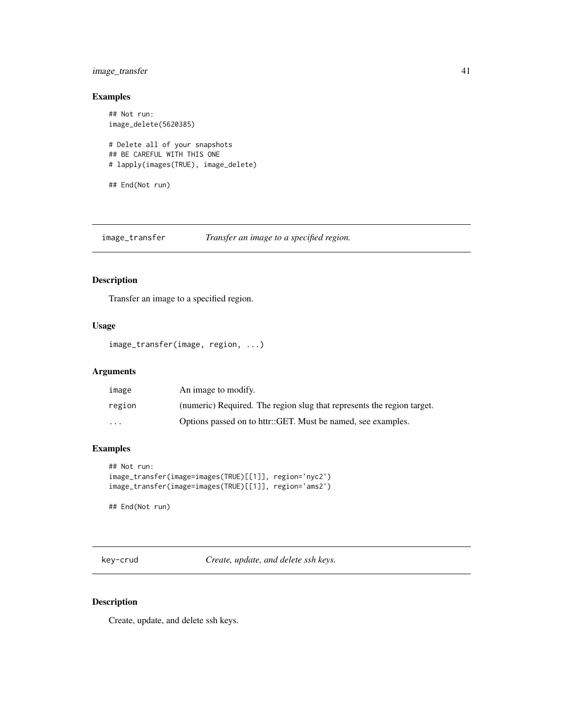### <span id="page-40-0"></span>image\_transfer 41

### Examples

```
## Not run:
image_delete(5620385)
# Delete all of your snapshots
## BE CAREFUL WITH THIS ONE
# lapply(images(TRUE), image_delete)
## End(Not run)
```
image\_transfer *Transfer an image to a specified region.*

### Description

Transfer an image to a specified region.

### Usage

```
image_transfer(image, region, ...)
```
### Arguments

| image                   | An image to modify.                                                    |
|-------------------------|------------------------------------------------------------------------|
| region                  | (numeric) Required. The region slug that represents the region target. |
| $\cdot$ $\cdot$ $\cdot$ | Options passed on to httr::GET. Must be named, see examples.           |

#### Examples

```
## Not run:
image_transfer(image=images(TRUE)[[1]], region='nyc2')
image_transfer(image=images(TRUE)[[1]], region='ams2')
```
## End(Not run)

key-crud *Create, update, and delete ssh keys.*

#### Description

Create, update, and delete ssh keys.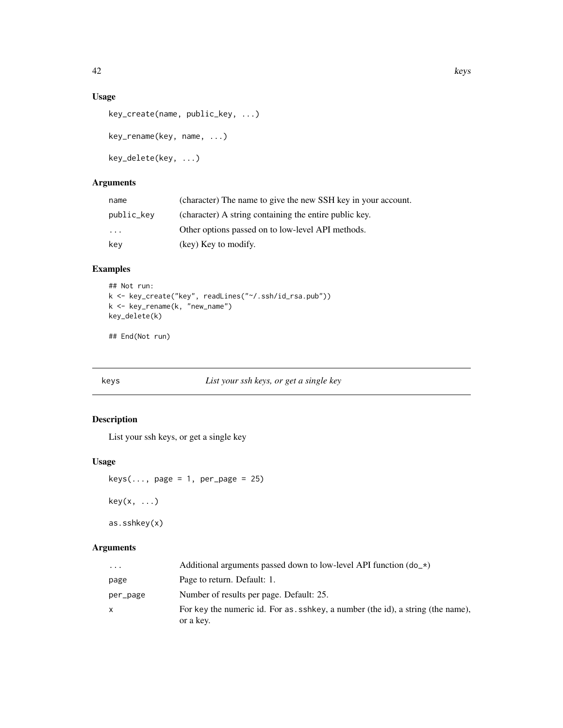### <span id="page-41-0"></span>Usage

```
key_create(name, public_key, ...)
key_rename(key, name, ...)
key_delete(key, ...)
```
### Arguments

| name       | (character) The name to give the new SSH key in your account. |
|------------|---------------------------------------------------------------|
| public_key | (character) A string containing the entire public key.        |
| $\cdot$    | Other options passed on to low-level API methods.             |
| key        | (key) Key to modify.                                          |

### Examples

```
## Not run:
k <- key_create("key", readLines("~/.ssh/id_rsa.pub"))
k <- key_rename(k, "new_name")
key_delete(k)
```
## End(Not run)

<span id="page-41-1"></span>keys *List your ssh keys, or get a single key*

### Description

List your ssh keys, or get a single key

#### Usage

```
keys(..., page = 1, per-page = 25)key(x, \ldots)as.sshkey(x)
```

| $\cdots$ | Additional arguments passed down to low-level API function $(d_0, \star)$                  |
|----------|--------------------------------------------------------------------------------------------|
| page     | Page to return. Default: 1.                                                                |
| per_page | Number of results per page. Default: 25.                                                   |
| X        | For key the numeric id. For as shkey, a number (the id), a string (the name),<br>or a key. |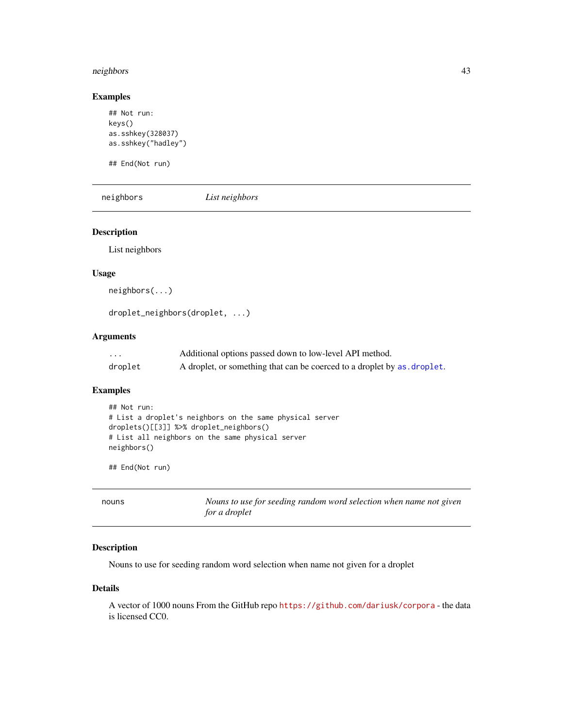#### <span id="page-42-0"></span>neighbors 43

### Examples

```
## Not run:
keys()
as.sshkey(328037)
as.sshkey("hadley")
```
## End(Not run)

neighbors *List neighbors*

### Description

List neighbors

### Usage

neighbors(...)

droplet\_neighbors(droplet, ...)

### Arguments

| .       | Additional options passed down to low-level API method.                 |
|---------|-------------------------------------------------------------------------|
| droplet | A droplet, or something that can be coerced to a droplet by as droplet. |

#### Examples

```
## Not run:
# List a droplet's neighbors on the same physical server
droplets()[[3]] %>% droplet_neighbors()
# List all neighbors on the same physical server
neighbors()
```
## End(Not run)

| nouns | Nouns to use for seeding random word selection when name not given |
|-------|--------------------------------------------------------------------|
|       | for a droplet                                                      |

### Description

Nouns to use for seeding random word selection when name not given for a droplet

### Details

A vector of 1000 nouns From the GitHub repo <https://github.com/dariusk/corpora> - the data is licensed CC0.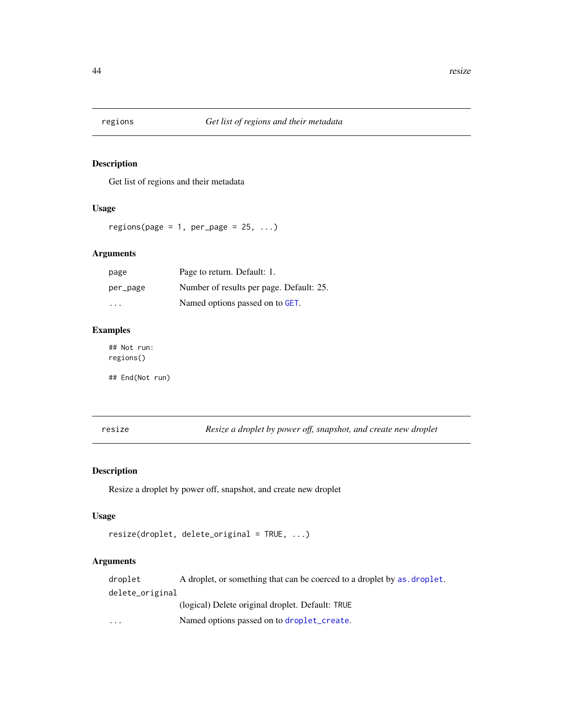<span id="page-43-1"></span><span id="page-43-0"></span>

#### Description

Get list of regions and their metadata

#### Usage

regions(page = 1, per\_page =  $25, ...$ )

#### Arguments

| page     | Page to return. Default: 1.              |
|----------|------------------------------------------|
| per_page | Number of results per page. Default: 25. |
| .        | Named options passed on to GET.          |

### Examples

## Not run: regions()

## End(Not run)

resize *Resize a droplet by power off, snapshot, and create new droplet*

#### Description

Resize a droplet by power off, snapshot, and create new droplet

#### Usage

```
resize(droplet, delete_original = TRUE, ...)
```
### Arguments

droplet A droplet, or something that can be coerced to a droplet by as. droplet. delete\_original (logical) Delete original droplet. Default: TRUE ... Named options passed on to [droplet\\_create](#page-27-1).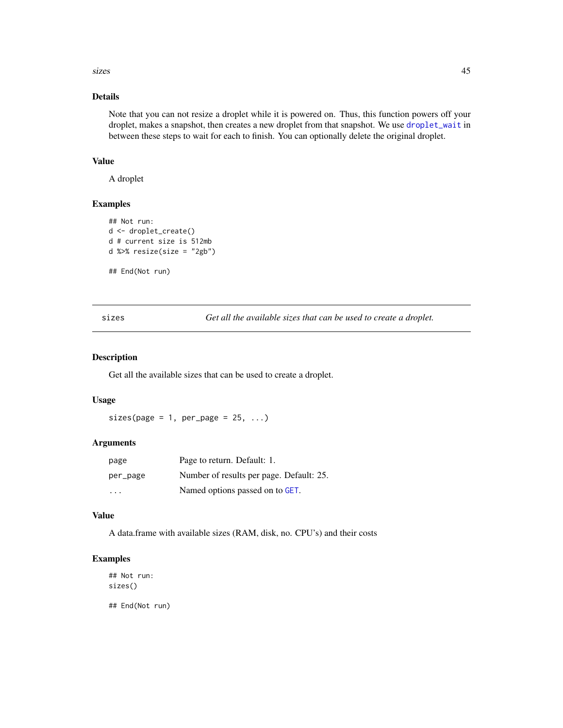<span id="page-44-0"></span>sizes and the state of the state of the state of the state of the state of the state of the state of the state of the state of the state of the state of the state of the state of the state of the state of the state of the

### Details

Note that you can not resize a droplet while it is powered on. Thus, this function powers off your droplet, makes a snapshot, then creates a new droplet from that snapshot. We use [droplet\\_wait](#page-38-1) in between these steps to wait for each to finish. You can optionally delete the original droplet.

### Value

A droplet

### Examples

```
## Not run:
d <- droplet_create()
d # current size is 512mb
d %>% resize(size = "2gb")
```
## End(Not run)

<span id="page-44-1"></span>sizes *Get all the available sizes that can be used to create a droplet.*

#### Description

Get all the available sizes that can be used to create a droplet.

#### Usage

 $sizes(page = 1, per-page = 25, ...)$ 

#### Arguments

| page     | Page to return. Default: 1.              |
|----------|------------------------------------------|
| per_page | Number of results per page. Default: 25. |
| $\cdots$ | Named options passed on to GET.          |

### Value

A data.frame with available sizes (RAM, disk, no. CPU's) and their costs

#### Examples

## Not run: sizes() ## End(Not run)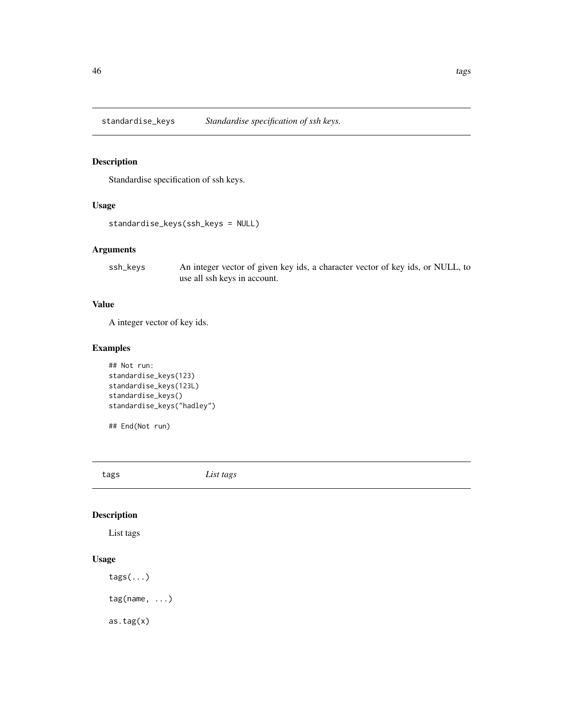<span id="page-45-0"></span>standardise\_keys *Standardise specification of ssh keys.*

### Description

Standardise specification of ssh keys.

#### Usage

```
standardise_keys(ssh_keys = NULL)
```
### Arguments

ssh\_keys An integer vector of given key ids, a character vector of key ids, or NULL, to use all ssh keys in account.

### Value

A integer vector of key ids.

### Examples

```
## Not run:
standardise_keys(123)
standardise_keys(123L)
standardise_keys()
standardise_keys("hadley")
```
## End(Not run)

tags *List tags*

### Description

List tags

### Usage

tags(...) tag(name, ...) as.tag(x)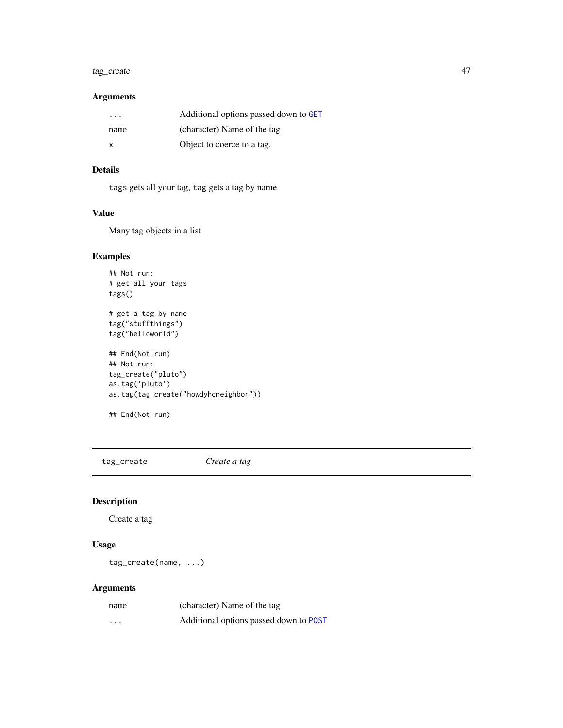### <span id="page-46-0"></span>tag\_create 47

### Arguments

| .    | Additional options passed down to GET |
|------|---------------------------------------|
| name | (character) Name of the tag           |
| x    | Object to coerce to a tag.            |

### Details

tags gets all your tag, tag gets a tag by name

### Value

Many tag objects in a list

### Examples

```
## Not run:
# get all your tags
tags()
# get a tag by name
tag("stuffthings")
tag("helloworld")
## End(Not run)
## Not run:
tag_create("pluto")
as.tag('pluto')
as.tag(tag_create("howdyhoneighbor"))
```

```
## End(Not run)
```
tag\_create *Create a tag*

### Description

Create a tag

### Usage

tag\_create(name, ...)

| name     | (character) Name of the tag            |
|----------|----------------------------------------|
| $\cdots$ | Additional options passed down to POST |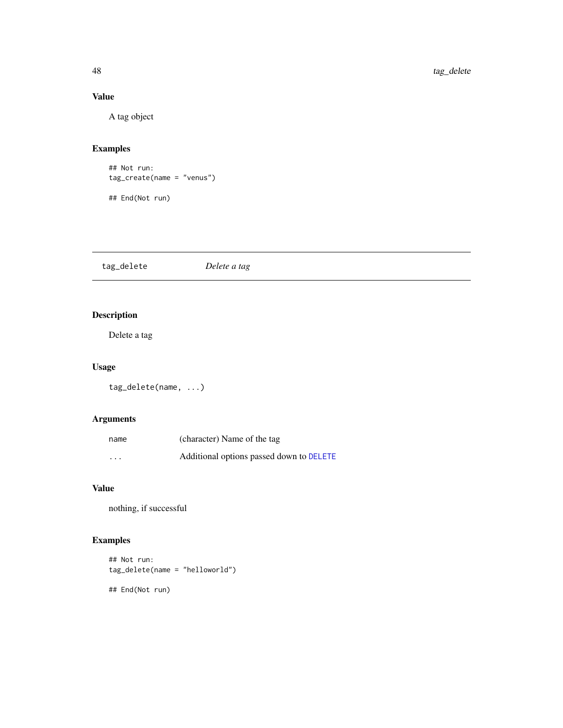### Value

A tag object

### Examples

```
## Not run:
tag_create(name = "venus")
## End(Not run)
```
tag\_delete *Delete a tag*

## Description

Delete a tag

### Usage

tag\_delete(name, ...)

### Arguments

| name                    | (character) Name of the tag              |
|-------------------------|------------------------------------------|
| $\cdot$ $\cdot$ $\cdot$ | Additional options passed down to DELETE |

#### Value

nothing, if successful

## Examples

```
## Not run:
tag_delete(name = "helloworld")
## End(Not run)
```
<span id="page-47-0"></span>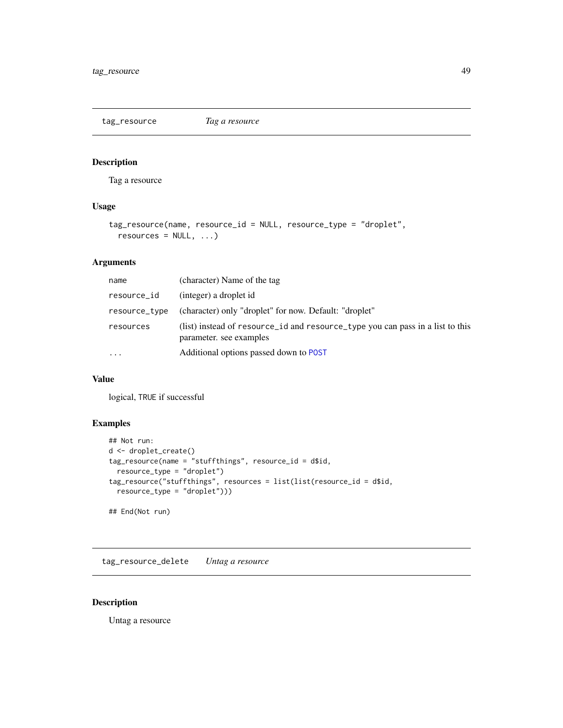<span id="page-48-0"></span>tag\_resource *Tag a resource*

#### Description

Tag a resource

### Usage

```
tag_resource(name, resource_id = NULL, resource_type = "droplet",
 resources = NULL, ...)
```
### Arguments

| name          | (character) Name of the tag                                                                               |
|---------------|-----------------------------------------------------------------------------------------------------------|
| resource_id   | (integer) a droplet id                                                                                    |
| resource_type | (character) only "droplet" for now. Default: "droplet"                                                    |
| resources     | (list) instead of resource id and resource type you can pass in a list to this<br>parameter, see examples |
| $\cdots$      | Additional options passed down to POST                                                                    |

### Value

logical, TRUE if successful

### Examples

```
## Not run:
d <- droplet_create()
tag_resource(name = "stuffthings", resource_id = d$id,
  resource_type = "droplet")
tag_resource("stuffthings", resources = list(list(resource_id = d$id,
  resource_type = "droplet")))
## End(Not run)
```
tag\_resource\_delete *Untag a resource*

### Description

Untag a resource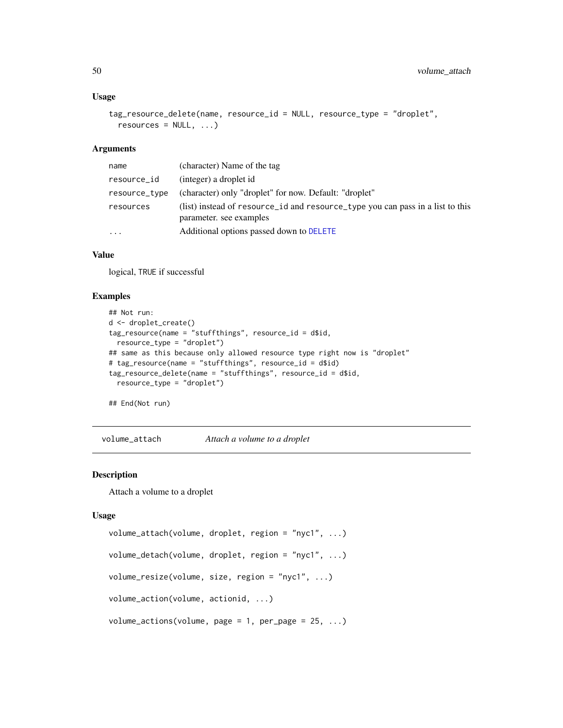#### Usage

```
tag_resource_delete(name, resource_id = NULL, resource_type = "droplet",
 resources = NULL, ...)
```
#### Arguments

| name          | (character) Name of the tag                                                                               |
|---------------|-----------------------------------------------------------------------------------------------------------|
| resource_id   | (integer) a droplet id                                                                                    |
| resource_type | (character) only "droplet" for now. Default: "droplet"                                                    |
| resources     | (list) instead of resource_id and resource_type you can pass in a list to this<br>parameter, see examples |
| .             | Additional options passed down to DELETE                                                                  |

#### Value

logical, TRUE if successful

#### Examples

```
## Not run:
d <- droplet_create()
tag_resource(name = "stuffthings", resource_id = d$id,
 resource_type = "droplet")
## same as this because only allowed resource type right now is "droplet"
# tag_resource(name = "stuffthings", resource_id = d$id)
tag_resource_delete(name = "stuffthings", resource_id = d$id,
  resource_type = "droplet")
```
## End(Not run)

volume\_attach *Attach a volume to a droplet*

### Description

Attach a volume to a droplet

#### Usage

```
volume_attach(volume, droplet, region = "nyc1", ...)
volume_detach(volume, droplet, region = "nyc1", ...)
volume_resize(volume, size, region = "nyc1", ...)
volume_action(volume, actionid, ...)
volume_actions(volume, page = 1, per_page = 25, ...)
```
<span id="page-49-0"></span>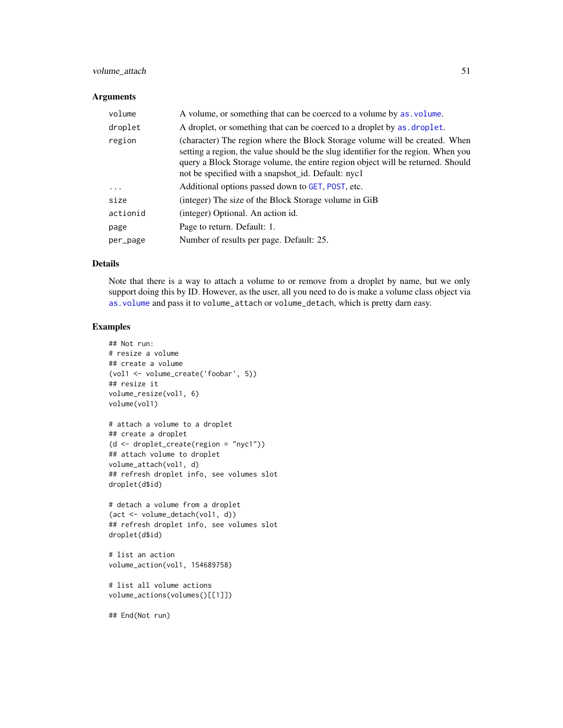### <span id="page-50-0"></span>volume\_attach 51

### Arguments

| volume   | A volume, or something that can be coerced to a volume by as volume.                                                                                                                                                                                                                                       |
|----------|------------------------------------------------------------------------------------------------------------------------------------------------------------------------------------------------------------------------------------------------------------------------------------------------------------|
| droplet  | A droplet, or something that can be coerced to a droplet by as droplet.                                                                                                                                                                                                                                    |
| region   | (character) The region where the Block Storage volume will be created. When<br>setting a region, the value should be the slug identifier for the region. When you<br>query a Block Storage volume, the entire region object will be returned. Should<br>not be specified with a snapshot_id. Default: nyc1 |
| $\cdots$ | Additional options passed down to GET, POST, etc.                                                                                                                                                                                                                                                          |
| size     | (integer) The size of the Block Storage volume in GiB                                                                                                                                                                                                                                                      |
| actionid | (integer) Optional. An action id.                                                                                                                                                                                                                                                                          |
| page     | Page to return. Default: 1.                                                                                                                                                                                                                                                                                |
| per_page | Number of results per page. Default: 25.                                                                                                                                                                                                                                                                   |

### Details

Note that there is a way to attach a volume to or remove from a droplet by name, but we only support doing this by ID. However, as the user, all you need to do is make a volume class object via [as.volume](#page-9-1) and pass it to volume\_attach or volume\_detach, which is pretty darn easy.

#### Examples

```
## Not run:
# resize a volume
## create a volume
(vol1 <- volume_create('foobar', 5))
## resize it
volume_resize(vol1, 6)
volume(vol1)
# attach a volume to a droplet
## create a droplet
(d <- droplet_create(region = "nyc1"))
## attach volume to droplet
volume_attach(vol1, d)
## refresh droplet info, see volumes slot
droplet(d$id)
# detach a volume from a droplet
(act <- volume_detach(vol1, d))
## refresh droplet info, see volumes slot
droplet(d$id)
```

```
# list an action
volume_action(vol1, 154689758)
```

```
# list all volume actions
volume_actions(volumes()[[1]])
```
## End(Not run)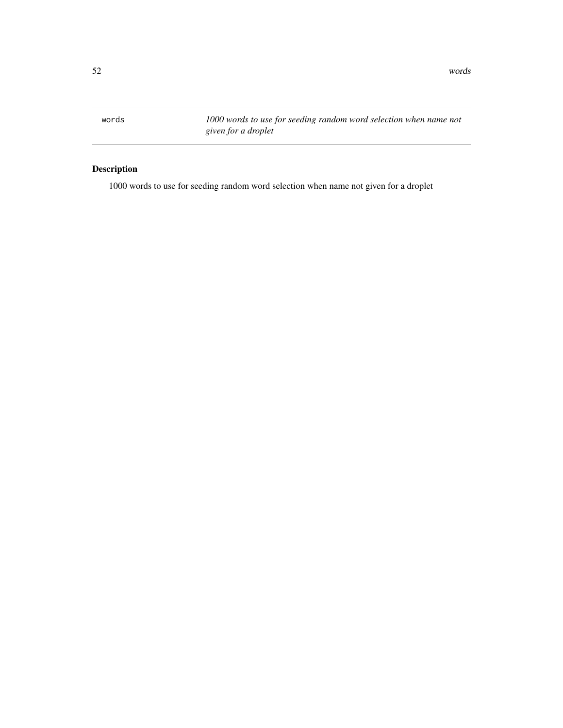<span id="page-51-1"></span><span id="page-51-0"></span>words *1000 words to use for seeding random word selection when name not given for a droplet*

## Description

1000 words to use for seeding random word selection when name not given for a droplet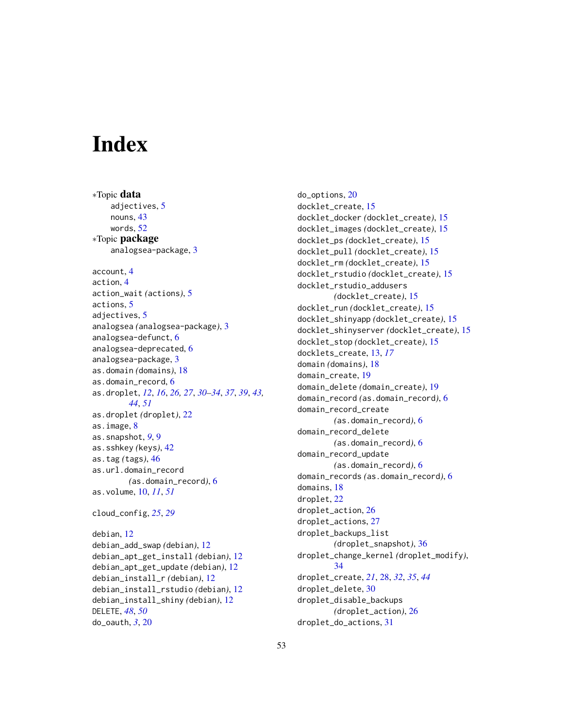# <span id="page-52-0"></span>**Index**

DELETE, *[48](#page-47-0)*, *[50](#page-49-0)* do\_oauth, *[3](#page-2-0)*, [20](#page-19-0)

∗Topic data adjectives, [5](#page-4-0) nouns, [43](#page-42-0) words, [52](#page-51-0) ∗Topic package analogsea-package, [3](#page-2-0) account, [4](#page-3-0) action, [4](#page-3-0) action\_wait *(*actions*)*, [5](#page-4-0) actions, [5](#page-4-0) adjectives. [5](#page-4-0) analogsea *(*analogsea-package*)*, [3](#page-2-0) analogsea-defunct, [6](#page-5-0) analogsea-deprecated, [6](#page-5-0) analogsea-package, [3](#page-2-0) as.domain *(*domains*)*, [18](#page-17-0) as.domain\_record, [6](#page-5-0) as.droplet, *[12](#page-11-0)*, *[16](#page-15-0)*, *[26,](#page-25-0) [27](#page-26-0)*, *[30–](#page-29-0)[34](#page-33-0)*, *[37](#page-36-0)*, *[39](#page-38-0)*, *[43,](#page-42-0) [44](#page-43-0)*, *[51](#page-50-0)* as.droplet *(*droplet*)*, [22](#page-21-0) as.image, [8](#page-7-0) as.snapshot, *[9](#page-8-0)*, [9](#page-8-0) as.sshkey *(*keys*)*, [42](#page-41-0) as.tag *(*tags*)*, [46](#page-45-0) as.url.domain\_record *(*as.domain\_record*)*, [6](#page-5-0) as.volume, [10,](#page-9-0) *[11](#page-10-0)*, *[51](#page-50-0)* cloud\_config, *[25](#page-24-0)*, *[29](#page-28-0)* debian, [12](#page-11-0) debian\_add\_swap *(*debian*)*, [12](#page-11-0) debian\_apt\_get\_install *(*debian*)*, [12](#page-11-0) debian\_apt\_get\_update *(*debian*)*, [12](#page-11-0) debian\_install\_r *(*debian*)*, [12](#page-11-0) debian\_install\_rstudio *(*debian*)*, [12](#page-11-0) debian\_install\_shiny *(*debian*)*, [12](#page-11-0)

do\_options, [20](#page-19-0) docklet\_create, [15](#page-14-0) docklet\_docker *(*docklet\_create*)*, [15](#page-14-0) docklet\_images *(*docklet\_create*)*, [15](#page-14-0) docklet\_ps *(*docklet\_create*)*, [15](#page-14-0) docklet\_pull *(*docklet\_create*)*, [15](#page-14-0) docklet\_rm *(*docklet\_create*)*, [15](#page-14-0) docklet\_rstudio *(*docklet\_create*)*, [15](#page-14-0) docklet\_rstudio\_addusers *(*docklet\_create*)*, [15](#page-14-0) docklet\_run *(*docklet\_create*)*, [15](#page-14-0) docklet\_shinyapp *(*docklet\_create*)*, [15](#page-14-0) docklet\_shinyserver *(*docklet\_create*)*, [15](#page-14-0) docklet\_stop *(*docklet\_create*)*, [15](#page-14-0) docklets\_create, [13,](#page-12-0) *[17](#page-16-0)* domain *(*domains*)*, [18](#page-17-0) domain\_create, [19](#page-18-0) domain\_delete *(*domain\_create*)*, [19](#page-18-0) domain\_record *(*as.domain\_record*)*, [6](#page-5-0) domain\_record\_create *(*as.domain\_record*)*, [6](#page-5-0) domain\_record\_delete *(*as.domain\_record*)*, [6](#page-5-0) domain\_record\_update *(*as.domain\_record*)*, [6](#page-5-0) domain\_records *(*as.domain\_record*)*, [6](#page-5-0) domains, [18](#page-17-0) droplet, [22](#page-21-0) droplet\_action, [26](#page-25-0) droplet\_actions, [27](#page-26-0) droplet\_backups\_list *(*droplet\_snapshot*)*, [36](#page-35-0) droplet\_change\_kernel *(*droplet\_modify*)*, [34](#page-33-0) droplet\_create, *[21](#page-20-0)*, [28,](#page-27-0) *[32](#page-31-0)*, *[35](#page-34-0)*, *[44](#page-43-0)* droplet\_delete, [30](#page-29-0) droplet\_disable\_backups *(*droplet\_action*)*, [26](#page-25-0) droplet\_do\_actions, [31](#page-30-0)